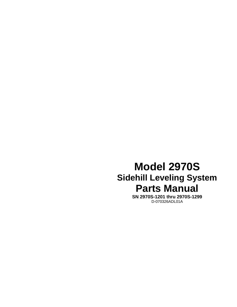# **Model 2970S Sidehill Leveling System Parts Manual**

**SN 2970S-1201 thru 2970S-1299**  D-070326ADL01A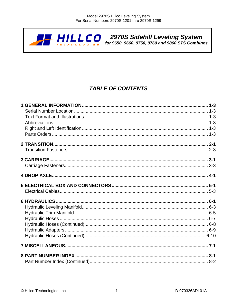

## **TABLE OF CONTENTS**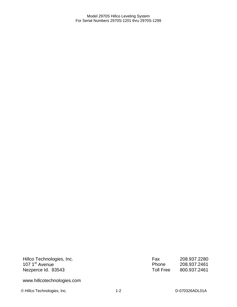Hillco Technologies, Inc. 107 1<sup>st</sup> Avenue Nezperce Id. 83543

www.hillcotechnologies.com

© Hillco Technologies, Inc. 1-2 1-2 D-070326ADL01A

| Fax       | 208.937.2280 |
|-----------|--------------|
| Phone     | 208.937.2461 |
| Toll Free | 800.937.2461 |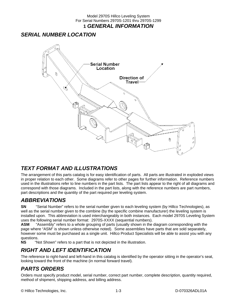### *SERIAL NUMBER LOCATION*



### *TEXT FORMAT AND ILLUSTRATIONS*

The arrangement of this parts catalog is for easy identification of parts. All parts are illustrated in exploded views in proper relation to each other. Some diagrams refer to other pages for further information. Reference numbers used in the illustrations refer to line numbers in the part lists. The part lists appear to the right of all diagrams and correspond with those diagrams. Included in the part lists, along with the reference numbers are part numbers, part descriptions and the quantity of the part required per leveling system.

### *ABBREVIATIONS*

**SN** "Serial Number" refers to the serial number given to each leveling system (by Hillco Technologies), as well as the serial number given to the combine (by the specific combine manufacturer) the leveling system is installed upon. This abbreviation is used interchangeably in both instances. Each model 2970S Leveling System uses the following serial number format: 2970S-XXXX (sequential numbers).

**ASM** "Assembly" refers to a whole grouping of parts (usually shown in the diagram corresponding with the page where "ASM" is shown unless otherwise noted). Some assemblies have parts that are sold separately, however some must be purchased as a single unit. Hillco Product Specialists will be able to assist you with any questions.

**NS** "Not Shown" refers to a part that is not depicted in the illustration.

### *RIGHT AND LEFT IDENTIFICATION*

The reference to right-hand and left-hand in this catalog is identified by the operator sitting in the operator's seat, looking toward the front of the machine (in normal forward travel).

### *PARTS ORDERS*

Orders must specify product model, serial number, correct part number, complete description, quantity required, method of shipment, shipping address, and billing address.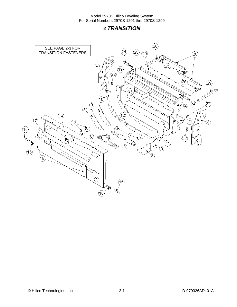### **2** *TRANSITION*

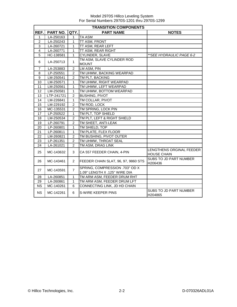|                 | <b>TRANSITION COMPONENTS</b> |                |                                                                 |                                                |  |  |  |
|-----------------|------------------------------|----------------|-----------------------------------------------------------------|------------------------------------------------|--|--|--|
| REF.            | <b>PART NO.</b>              | QTY.           | <b>PART NAME</b>                                                | <b>NOTES</b>                                   |  |  |  |
| $\mathbf{1}$    | LA-250163                    | $\mathbf{1}$   | <b>TA ASM</b>                                                   |                                                |  |  |  |
| $\overline{2}$  | LA-250243                    | 1              | TT ASM, FRONT                                                   |                                                |  |  |  |
| 3               | LA-260721                    | 1              | TT ASM, REAR LEFT                                               |                                                |  |  |  |
| $\overline{4}$  | LA-260771                    | 1              | TT ASM, REAR RIGHT                                              |                                                |  |  |  |
| 5               | HC-138581                    | $\mathbf{1}$   | CYLINDER, SLAVE                                                 | **SEE HYDRAULIC PAGE 6-2                       |  |  |  |
| 6               | LA-250713                    | $\mathbf{1}$   | TM ASM, SLAVE CYLINDER ROD<br><b>MOUNT</b>                      |                                                |  |  |  |
| $\overline{7}$  | LA-253883                    | $\overline{c}$ | LM ASM, PIN                                                     |                                                |  |  |  |
| 8               | LP-250551                    | $\overline{2}$ | TM UHMW, BACKING WEARPAD                                        |                                                |  |  |  |
| 9               | LM-250541                    | $\overline{2}$ | TM PLT, BACKING                                                 |                                                |  |  |  |
| 10              | LM-250571                    | $\mathbf{1}$   | TM UHMW, RIGHT WEARPAD                                          |                                                |  |  |  |
| 11              | LM-250561                    | $\mathbf{1}$   | TM UHMW, LEFT WEARPAD                                           |                                                |  |  |  |
| 12              | LM-250581                    | $\mathbf{1}$   | TM UHMW, BOTTOM WEARPAD                                         |                                                |  |  |  |
| 13              | LTP-241721                   | $\overline{2}$ | <b>BUSHING, PIVOT</b>                                           |                                                |  |  |  |
| 14              | LM-226841                    | $\mathbf{1}$   | TM COLLAR, PIVOT                                                |                                                |  |  |  |
| 15              | LM-229192                    | $\overline{2}$ | TM ROD, LOCK                                                    |                                                |  |  |  |
| 16              | MC-135531                    | $\overline{2}$ | TM SPRING, LOCK PIN                                             |                                                |  |  |  |
| 17              | LP-250522                    | $\mathbf{1}$   | TM PLT, TOP SHIELD                                              |                                                |  |  |  |
| 18              | LM-250534                    | $\overline{c}$ | TM PLT, LEFT & RIGHT SHIELD                                     |                                                |  |  |  |
| 19              | LP-260791                    | $\overline{2}$ | TM SHEET, ANTI-LEAK                                             |                                                |  |  |  |
| 20              | LP-260801                    | $\mathbf{1}$   | TM SHIELD, TOP                                                  |                                                |  |  |  |
| $\overline{21}$ | LP-260811                    | $\overline{1}$ | TM PLATE, FLEX FLOOR                                            |                                                |  |  |  |
| 22              | LM-260821                    | $\overline{2}$ | TM BUSHING, PIVOT OUTER                                         |                                                |  |  |  |
| 23              | LP-261351                    | $\overline{2}$ | TM UHMW, THROAT SEAL                                            |                                                |  |  |  |
| 24              | LA-261021                    | $\overline{2}$ | TM ASM, DRAG LINK                                               |                                                |  |  |  |
| 25              | MC-143632                    | 3              | CA 557 FEEDER CHAIN, 4-PIN                                      | LENGTHENS ORGINAL FEEDER<br><b>HOUSE CHAIN</b> |  |  |  |
| 26              | MC-143461                    | $\overline{2}$ | FEEDER CHAIN SLAT, 96, 97, 9860 STS                             | SUBS TO JD PART NUMBER<br>H206436              |  |  |  |
| 27              | MC-143591                    | $\overline{7}$ | SPRING, COMPRESSION .703" OD X<br>1.09" LENGTH X .125" WIRE DIA |                                                |  |  |  |
| 28              | LA-260851                    | $\mathbf{1}$   | TM ARM ASM, FEEDER DRUM RHT                                     |                                                |  |  |  |
| 29              | LA-260861                    | $\mathbf{1}$   | TM ARM ASM, FEEDER DRUM LFT                                     |                                                |  |  |  |
| <b>NS</b>       | MC-140261                    | 6              | CONNECTING LINK, JD HD CHAIN                                    |                                                |  |  |  |
| <b>NS</b>       | MC-142261                    | 6              | S-WIRE KEEPER PINS                                              | <b>SUBS TO JD PART NUMBER</b><br>H204865       |  |  |  |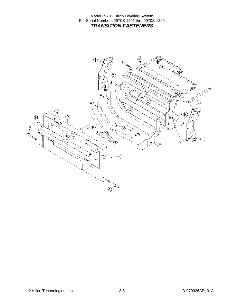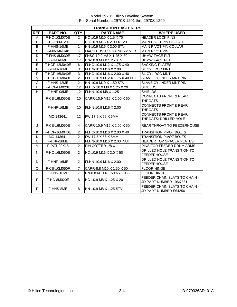|                | <b>TRANSITION FASTENERS</b> |                 |                               |                                                           |  |  |
|----------------|-----------------------------|-----------------|-------------------------------|-----------------------------------------------------------|--|--|
| REF.           | PART NO.                    | QTY.            | <b>PART NAME</b>              | <b>WHERE USED</b>                                         |  |  |
| A              | F-HC-10M070E                | $\overline{2}$  | HC-10.9 M10 X 1.5 X 70        | <b>HEADER LOCK PINS</b>                                   |  |  |
| B              | F-HC-16M120E                | $\mathbf{1}$    | HC-10.9 M16 X 2.00 X 120      | <b>MAIN PIVOT PIN COLLAR</b>                              |  |  |
| B              | F-HNS-16ME                  | $\mathbf{1}$    | HN-10.9 M16 X 2.00 STV        | MAIN PIVOT PIN COLLAR                                     |  |  |
| C              | F-MB-14NR40                 | $\overline{4}$  | MACH BUSH 14 GA NR 2-1/2 ID   | <b>MAIN PIVOT PIN</b>                                     |  |  |
| D              | F-FHS-8M030E                | 17              | FHSC-10.9 M8 X 1.25 X 30      | <b>UHMW FACE PLT</b>                                      |  |  |
| D              | F-HNS-8ME                   | 17              | HN-10.9 M8 X 1.25 STV         | <b>UHMW FACE PLT</b>                                      |  |  |
| E              | F-HCF-12M040E               | 6               | FLHC-10.9 M12 X 1.75 X 40     | <b>BACKING PLATES</b>                                     |  |  |
| F              | F-HNS-16ME                  | 3               | FLHN-10.9 M16 X 2.00          | SL CYL ROD MNT                                            |  |  |
| $\overline{F}$ | F-HCF-16M040E               | 3               | FLHC-10.9 M16 X 2.00 X 40     | SL CYL ROD MNT                                            |  |  |
| G              | F-HCF-12M040E               | 2               | FLHC-10.9 M12 X 1.75 X 40 PLT | SLAVE CYLINDER MNT PIN                                    |  |  |
| G              | F-HNS-12ME                  | $\overline{2}$  | HN-10.9 M10 X 1.50 STV        | <b>SLAVE CYLINDER MNT PIN</b>                             |  |  |
| H              | F-HCF-8M020E                | 12              | FLHC-10.9 M8 X 1.25 X 20      | <b>SHIELDS</b>                                            |  |  |
| H              | F-HNF-08ME                  | 12              | FLHN-10.9 M8 X 1.25           | <b>SHIELDS</b>                                            |  |  |
| $\mathbf{I}$   | F-CB-16M050E                | 10              | CARR-10.9 M16 X 2.00 X 50     | <b>CONNECTS FRONT &amp; REAR</b><br><b>THROATS</b>        |  |  |
| $\mathbf{I}$   | F-HNF-16ME                  | 10              | FLHN-10.9 M16 X 2.00          | <b>CONNECTS FRONT &amp; REAR</b><br><b>THROATS</b>        |  |  |
| $\mathsf{I}$   | MC-143641                   | 12 <sup>2</sup> | FW 17.5 X 56 X 5MM            | <b>CONNECTS FRONT &amp; REAR</b><br>THROATS; DRILLED HOLE |  |  |
| J              | F-CB-16M050E                | 4               | CARR-10.9 M16 X 2.00 X 50     | <b>REAR THROAT TO FEEDERHOUSE</b>                         |  |  |
| K              | F-HCF-16M040E               | $\overline{2}$  | FLHC-10.9 M16 X 2.00 X 40     | <b>TRANSITION PIVOT BOLTS</b>                             |  |  |
| Κ              | MC-143641                   | $\overline{2}$  | FW 17.5 X 56 X 5MM            | <b>TRANSITION PIVOT BOLTS</b>                             |  |  |
| L              | F-HNF-16ME                  | 4               | FLHN-10.9 M16 X 2.00 NUT      | HEADER TOP SPACER PLATES                                  |  |  |
| M              | F-PCT-02X16                 | $\mathcal{P}$   | PIN COTTER 1/8 X 1            | PINS FOR FEEDER DRUM ARMS                                 |  |  |
| $\mathsf{N}$   | F-HC-16M050E                | $\overline{2}$  | HC-10.9 M16 X 2.0 X 50        | DRILLED HOLE TRANSITION TO<br><b>FEEDERHOUSE</b>          |  |  |
| N              | F-HNF-16ME                  | $\overline{2}$  | FLHN-10.9 M16 X 2.00          | DRILLED HOLE TRANSITION TO<br><b>FEEDERHOUSE</b>          |  |  |
| O              | F-CB-10M050F                | $\overline{7}$  | CARR-8.8 M10 X 1.50 X 50      | <b>FLOOR HINGE</b>                                        |  |  |
| $\Omega$       | F-HNN-10MF                  | $\overline{7}$  | HN-8.8 M10 X 1.50 NYLOCK      | <b>FLOOR HINGE</b>                                        |  |  |
| P              | F-HC-8M020E                 | 8               | HC-10.9 M8 X 1.25 X 20        | FEEDER CHAIN SLATS TO CHAIN -<br>JD PART NUMBER 19M7881   |  |  |
| P              | F-HNS-8ME                   | 8               | HN-10.9 M8 X 1.25 STV         | FEEDER CHAIN SLATS TO CHAIN -<br>JD PART NUMBER E64256    |  |  |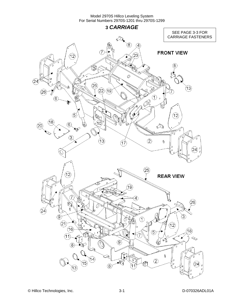**3** *CARRIAGE*  SEE PAGE 3-3 FOR CARRIAGE FASTENERS⋖  $\widehat{8}$  $\left( 4\right)$ **FRONT VIEW**  $\widehat{23}$  $(12)$ े<br>सि 8 ٦  $\oslash$  $(24)$  $(25)$  $\mathfrak{F}$  $(22)(19)$  $(26)$  $\sum_{i=1}^{n} \sum_{j=1}^{n}$  $\widehat{6}$ لكعا Á  $\circled$ 12) Q (18  $\circled6$ 10  $(20)$  $\mathbb{Q}$  $\circled{3}$  $(2)$  $(13)$  $\theta$  $(17)$ 24  $\left( 25\right)$  $(12)$ **REAR VIEW**  $(19)$  $\left( \widehat{4}\right)$ 26  $(24)$  $\circledS$ 3)  $\odot$  $(2)$  $\widehat{12}$  $(16)$  $(18)$ 5  $(11)$ 7  $\ll$ ୣୣ  $\left( 9\right)$ Ò  $\left( 8\right)$ O  $^\circledR$  $(14)$  $\circled{2}$ Q. (15) 24  $\circledR$  $(13)$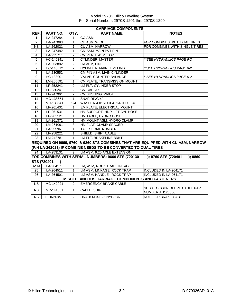|                | <b>CARRIAGE COMPONENTS</b> |                |                                                                           |                                                                                   |  |
|----------------|----------------------------|----------------|---------------------------------------------------------------------------|-----------------------------------------------------------------------------------|--|
| REF.           | PART NO.                   | QTY.           | <b>PART NAME</b>                                                          | <b>NOTES</b>                                                                      |  |
| 1              | LA-247284                  | $\mathbf{1}$   | CO ASM                                                                    |                                                                                   |  |
| $\overline{2}$ | LA-247093                  | 1              | CU ASM, WIDE                                                              | FOR COMBINES WITH DUAL TIRES                                                      |  |
| <b>NS</b>      | LA-262021                  | 1              | <b>CU ASM, NARROW</b>                                                     | FOR COMBINES WITH SINGLE TIRES                                                    |  |
| 3              | LA-247482                  | $\mathbf{1}$   | CM ASM, MAIN PVT PIN                                                      |                                                                                   |  |
| $\overline{4}$ | LA-235711                  | $\overline{c}$ | CM PLATE ASM, TOP                                                         |                                                                                   |  |
| $\overline{5}$ | HC-140341                  | $\mathbf{1}$   | <b>CYLINDER, MASTER</b>                                                   | **SEE HYDRAULICS PAGE 6-2                                                         |  |
| $\overline{6}$ | LA-253882                  | $\overline{2}$ | LM ASM, PIN                                                               |                                                                                   |  |
| $\overline{7}$ | HC-140312                  | $\overline{2}$ | <b>CYLINDER, MAIN LEVELING</b>                                            | **SEE HYDRAULICS PAGE 6-2                                                         |  |
| 8              | LA-230552                  | 4              | CM PIN ASM, MAIN CYLINDER                                                 |                                                                                   |  |
| 9              | HC-138901                  | $\overline{2}$ | VALVE, COUNTER BALANCE                                                    | **SEE HYDRAULICS PAGE 6-2                                                         |  |
| 10             | LM-260591                  | $\mathbf{1}$   | CM PLATE, TRANSMISSION MOUNT                                              |                                                                                   |  |
| 11             | LP-252241                  | $\overline{2}$ | LM PLT, CYLINDER STOP                                                     |                                                                                   |  |
| 12             | LP-230241                  | $\overline{2}$ | CM CAP, AXLE                                                              |                                                                                   |  |
| 13             | LP-247961                  | $\overline{2}$ | CM BUSHING, PIVOT                                                         |                                                                                   |  |
| 14             | MC-138651                  | $\mathbf{1}$   | SNAP RING 4"                                                              |                                                                                   |  |
| 15             | MC-138641                  | $1 - 4$        | WASHER 4.016ID X 4.764OD X .048                                           |                                                                                   |  |
| 16             | LP-261431                  | 1              | EM PLATE, ELECTRICAL MOUNT                                                |                                                                                   |  |
| 17             | LP-261531                  | 1              | HM SUPPORT, HDR LIFT CYL HOSE                                             |                                                                                   |  |
| 18             | LP-261121                  | $\mathbf{1}$   | HM TABLE, HYDRO HOSE                                                      |                                                                                   |  |
| 19             | LA-261371                  | $\mathbf{1}$   | HM MOUNT ASM, HYDRO CLAMP                                                 |                                                                                   |  |
| 20             | LM-261091                  | 3              | HM FLAT, CLAMP SPACER                                                     |                                                                                   |  |
| 21             | LA-255961                  | 1              | TAG, SERIAL NUMBER                                                        |                                                                                   |  |
| 22             | LP-258221                  | $\mathbf 1$    | SHIELD, SHIFT CABLE                                                       |                                                                                   |  |
| 23             | LM-248781                  | $\mathbf{1}$   | LM FLT, BRAKELINE BRKT                                                    |                                                                                   |  |
|                |                            |                |                                                                           | REQUIRED ON 9660, 9760, & 9860 STS COMBINES THAT ARE EQUIPPED WITH CU ASM, NARROW |  |
|                |                            |                | (P/N LA-262021) IF COMBINE NEEDS TO BE CONVERTED TO DUAL TIRES            |                                                                                   |  |
| 24             | LA-253131                  | $\overline{2}$ | LM ASM, 9.25 AXLE EXTENSION                                               |                                                                                   |  |
|                |                            |                | FOR COMBINES WITH SERIAL NUMBERS: 9660 STS (7201301- ); 9760 STS (720401- | ): 9860                                                                           |  |
|                | STS (720401-               |                |                                                                           |                                                                                   |  |
| <b>ASM</b>     | LA-264171                  | 1              | LM, ASM, ROCK TRAP LINKAGE                                                |                                                                                   |  |
| 25             | LA-264511                  | $\overline{1}$ | LM ASM, LINKAGE, ROCK TRAP                                                | INCLUDED IN LA-264171                                                             |  |
| 26             | LA-264501                  | $\mathbf{1}$   | LM ASM, HANDLE, ROCK TRAP                                                 | <b>INCLUDED IN LA-264171</b>                                                      |  |
|                |                            |                | <b>MISCELLANEOUS CARRIAGE COMPONENTS AND FASTENERS</b>                    |                                                                                   |  |
| <b>NS</b>      | MC-142921                  | $\overline{2}$ | <b>EMERGENCY BRAKE CABLE</b>                                              |                                                                                   |  |
| <b>NS</b>      | MC-141551                  | $\mathbf{1}$   | CABLE, SHIFT                                                              | SUBS TO JOHN DEERE CABLE PART<br>NUMBER AH128356                                  |  |
| <b>NS</b>      | F-HNN-8MF                  | $\overline{2}$ | HN-8.8 M8X1.25 NYLOCK                                                     | <b>NUT, FOR BRAKE CABLE</b>                                                       |  |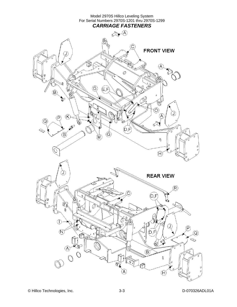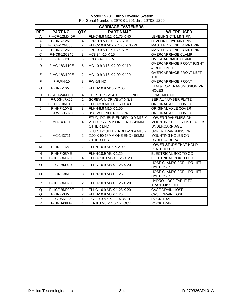|                         | <b>CARRIAGE FASTENERS</b> |                       |                                                                                    |                                                                                           |  |  |  |
|-------------------------|---------------------------|-----------------------|------------------------------------------------------------------------------------|-------------------------------------------------------------------------------------------|--|--|--|
| REF.                    | PART NO.                  | QTY.                  | <b>PART NAME</b>                                                                   | <b>WHERE USED</b>                                                                         |  |  |  |
| Α                       | F-HCF-12M040F             | 4                     | FLHC-8.8 M12 X 1.75 X 40                                                           | LEVELING CYL MNT PIN                                                                      |  |  |  |
| A                       | F-HNS-12ME                | 4                     | HN-10.9 M12 X 1.75 STV                                                             | LEVELING CYL MNT PIN                                                                      |  |  |  |
| B                       | F-HCF-12M035E             | $\overline{c}$        | FLHC-10.9 M12 X 1.75 X 35 PLT                                                      | MASTER CYLINDER MNT PIN                                                                   |  |  |  |
| B                       | F-HNS-12ME                | $\overline{2}$        | HN-10.9 M12 X 1.75 STV                                                             | <b>MASTER CYLINDER MNT PIN</b>                                                            |  |  |  |
| C                       | F-HC8-12C240              | 8                     | HC8 3/4-10 X 15                                                                    | <b>OVERCARRIAGE CLAMP</b>                                                                 |  |  |  |
| $\overline{C}$          | F-HNS-12C                 | 8                     | HN8 3/4-10 STV                                                                     | OVERCARRIAGE CLAMP                                                                        |  |  |  |
| D                       | F-HC-16M110E              | 6                     | HC-10.9 M16 X 2.00 X 110                                                           | OVERCARRIAGE FRONT RIGHT<br>& BOTTOM LEFT                                                 |  |  |  |
| E.                      | F-HC-16M120E              | $\overline{2}$        | HC-10.9 M16 X 2.00 X 120                                                           | OVERCARRIAGE FRONT LEFT<br><b>TOP</b>                                                     |  |  |  |
| $\mathsf F$             | F-FWH-10                  | 8                     | <b>FW 5/8 HD</b>                                                                   | <b>OVERCARRIAGE FRONT</b>                                                                 |  |  |  |
| G                       | F-HNF-16ME                | 4                     | FLHN-10.9 M16 X 2.00                                                               | BTM & TOP TRANSMISSION MNT<br><b>HOLES</b>                                                |  |  |  |
| H                       | F-SHC-24M080E             | 4                     | SHCS 10.9-M24 X 3 X 80 ZINC                                                        | <b>FINAL MOUNT</b>                                                                        |  |  |  |
| $\mathbf{I}$            | F-UDS-#7X06               | $\overline{c}$        | SCREW, U-DRIVE #7 X 3/8                                                            | SERIAL NUMBER PLATE                                                                       |  |  |  |
| J                       | F-HCF-10M040E             | 8                     | FLHC-8.8 M10 X 1.50 X 40                                                           | ORIGINAL AXLE COVER                                                                       |  |  |  |
| $\overline{\mathsf{J}}$ | F-HNF-10ME                | 8                     | FLHN-8.8 M10 X 1.50                                                                | ORIGINAL AXLE COVER                                                                       |  |  |  |
| J                       | F-FWF-06020               | 8                     | 3/8 FW FENDER X 1-1/4                                                              | ORIGINAL AXLE COVER                                                                       |  |  |  |
| K                       | MC-143711                 | 4                     | STUD, DOUBLE-ENDED-10.9 M16 X<br>2.00 X 75 20MM ONE END - 41MM<br><b>OTHER END</b> | <b>LOWER TRANSMISSION</b><br><b>MOUNTING HOLES ON PLATE &amp;</b><br><b>UNDERCARRIAGE</b> |  |  |  |
| L                       | MC-143721                 | $\overline{2}$        | STUD, DOUBLE-ENDED-10.9 M16 X<br>2.00 X 90 18MM ONE END - 56MM<br><b>OTHER END</b> | <b>UPPER TRANSMISSION</b><br>MOUNTING HOLES ON<br><b>UNDERCARRIAGE</b>                    |  |  |  |
| м                       | F-HNF-16ME                | $\overline{2}$        | FLHN-10.9 M16 X 2.00                                                               | LOWER STUDS THAT HOLD<br>PLATE TO UC                                                      |  |  |  |
| N                       | F-HNF-08ME                | 4                     | FLHN-10.9 M8 X 1.25                                                                | ELECTRICAL BOX TO OC                                                                      |  |  |  |
| N                       | F-HCF-8M020E              | 4                     | FLHC- 10.9 M8 X 1.25 X 20                                                          | ELECTRICAL BOX TO OC                                                                      |  |  |  |
| O                       | F-HCF-8M020F              | 3                     | FLHC-10.9 M8 X 1.25 X 20                                                           | HOSE CLAMPS FOR HDR LIFT<br><b>CYL HOSES</b>                                              |  |  |  |
| O                       | F-HNF-8MF                 | 3                     | FLHN-10.9 M8 X 1.25                                                                | HOSE CLAMPS FOR HDR LIFT<br><b>CYL HOSES</b>                                              |  |  |  |
| P                       | F-HCF-8M020E              | $\mathbf{2}^{\prime}$ | FLHC-10.9 M8 X 1.25 X 20                                                           | <b>HYDRO HOSE TABLE TO</b><br><b>TRANSMISSION</b>                                         |  |  |  |
| Q                       | F-HCF-8M020E              | 1                     | FLHC-10.9 M8 X 1.25 X 20                                                           | <b>CASE DRAIN HOSE</b>                                                                    |  |  |  |
| Q                       | F-HNF-08ME                | $\overline{2}$        | FLHN-10.9 M8 X 1.25                                                                | <b>CASE DRAIN HOSE</b>                                                                    |  |  |  |
| ${\sf R}$               | F-HC-06M035E              | $\mathbf{1}$          | HC-10.9 M6 X 1.0 X 35 PLT                                                          | <b>ROCK TRAP</b>                                                                          |  |  |  |
| $\overline{R}$          | F-HNN-06MF                | $\mathbf{1}$          | HN- 8.8 M6 X 1.0 NYLOCK                                                            | <b>ROCK TRAP</b>                                                                          |  |  |  |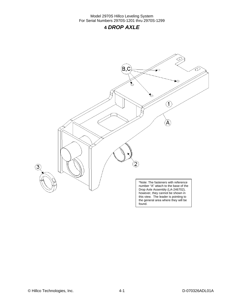### **4** *DROP AXLE*

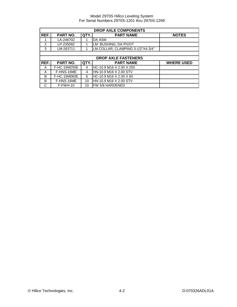| <b>DROP AXLE COMPONENTS</b> |              |      |                                   |                   |  |
|-----------------------------|--------------|------|-----------------------------------|-------------------|--|
| REF.                        | PART NO.     | QTY. | <b>PART NAME</b>                  | <b>NOTES</b>      |  |
|                             | LA-246702    |      | DA ASM                            |                   |  |
| $\mathfrak{p}$              | LP-235092    |      | LM BUSHING, DA PIVOT              |                   |  |
| 3                           | LM-263711    |      | LM COLLAR, CLAMPING 3-1/2"X4-3/4" |                   |  |
|                             |              |      |                                   |                   |  |
|                             |              |      | <b>DROP AXLE FASTENERS</b>        |                   |  |
| REF.                        | PART NO.     | QTY. | <b>PART NAME</b>                  | <b>WHERE USED</b> |  |
| A                           | F-HC-16M250E | 4    | HC-10.9 M16 X 2.00 X 250          |                   |  |
| A                           | F-HNS-16ME   | 4    | HN-10.9 M16 X 2.00 STV            |                   |  |
| B                           | F-HC-16M060E | 6    | HC-10.9 M16 X 2.00 X 60           |                   |  |
| B                           | F-HNS-16ME   | 10   | HN-10.9 M16 X 2.00 STV            |                   |  |
| C                           | $F-FWH-10$   | 10   | FW 5/8 HARDENED                   |                   |  |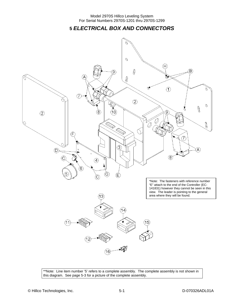**5** *ELECTRICAL BOX AND CONNECTORS* 



\*\*Note: Line item number '5' refers to a complete assembly. The complete assembly is not shown in this diagram. See page 5-3 for a picture of the complete assembly.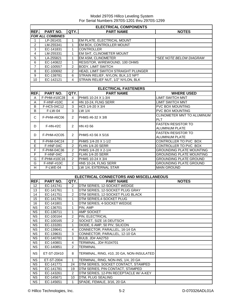|                        | <b>ELECTRICAL COMPONENTS</b> |                |                                           |                                 |  |  |
|------------------------|------------------------------|----------------|-------------------------------------------|---------------------------------|--|--|
| REF.                   | PART NO.                     | QTY.           | <b>PART NAME</b>                          | <b>NOTES</b>                    |  |  |
|                        | <b>FOR ALL COMBINES</b>      |                |                                           |                                 |  |  |
| 1                      | LP-261431                    | 1              | EM PLATE, ELECTRICAL MOUNT                |                                 |  |  |
| $\overline{2}$         | LM-255341                    | $\mathbf{1}$   | EM BOX, CONTROLLER MOUNT                  |                                 |  |  |
| 3                      | EC-141831                    | $\mathbf{1}$   | <b>CONTROLLER</b>                         |                                 |  |  |
| $\overline{4}$         | LM-255331                    | 1              | EM SHT, CLINOMETER MOUNT                  |                                 |  |  |
| 5                      | LA-255821                    | 1              | EM ASM, CLINOMETER                        | *SEE NOTE BELOW DIAGRAM         |  |  |
| $\overline{6}$         | EC-140822                    | $\mathbf{1}$   | RESISTOR, WIREWOUND, 100 OHMS             |                                 |  |  |
| $\overline{7}$         |                              | 2              | <b>BODY, LIMIT SWITCH</b>                 |                                 |  |  |
|                        | EC-100557                    | $\overline{2}$ | HEAD, LIMIT SWITCH STRAIGHT PLUNGER       |                                 |  |  |
| 8                      | EC-100692                    |                |                                           |                                 |  |  |
| 9                      | EC-138781                    | 6              | STRAIN RELIEF, NYLON, BLK, 1/2 NPT        |                                 |  |  |
| 10                     | EC-142121                    | 4              | STRAIN RELIEF NUT, 1/2" NYLON, BLK        |                                 |  |  |
|                        |                              |                |                                           |                                 |  |  |
|                        |                              |                | <b>ELECTRICAL FASTENERS</b>               |                                 |  |  |
| REF.                   | PART NO.                     | QTY.           | <b>PART NAME</b>                          | <b>WHERE USED</b>               |  |  |
| Α                      | F-PHM-#10C28                 | 4              | PHMS 10-24 X 1-3/4                        | <b>LIMIT SWITCH MNT</b>         |  |  |
| A                      | <b>F-HNF-#10C</b>            | 4              | HN 10-24, FLNG SERR                       | <b>LIMIT SWITCH MNT</b>         |  |  |
| B                      | F-HC5-04C12                  | 3              | HC5 1/4-20 X 3/4                          | PVC BOX MOUNTING                |  |  |
| B                      | F-LW-04                      | 3              | LW 1/4                                    | PVC BOX MOUNTING                |  |  |
|                        |                              |                |                                           | CLINOMETER MNT TO ALUMINUM      |  |  |
| С                      | F-PHM-#6C06                  | $\overline{2}$ | PHMS #6-32 X 3/8                          | <b>PLT</b>                      |  |  |
|                        |                              |                |                                           | <b>FASTEN RESISTOR TO</b>       |  |  |
| D                      | $F-HN-#2C$                   | $\overline{2}$ | HN #2-56                                  | ALUMINUM PLATE                  |  |  |
|                        |                              |                |                                           | <b>FASTEN RESISTOR TO</b>       |  |  |
| D                      | F-PHM-#2C05                  | 2              | PHMS #2-56 X 5/16                         | ALUMINUM PLATE                  |  |  |
|                        |                              |                |                                           |                                 |  |  |
| Е                      | F-PHM-04C24                  | 2              | PHMS 1/4-20 X 1-1/2                       | CONTROLLER TO PVC BOX           |  |  |
| Е                      | F-HNF-04C                    | $\overline{2}$ | FLHN 1/4-20 SERR                          | CONTROLLER TO PVC BOX           |  |  |
| F                      | F-PHM-04C36                  | 2              | PHMS 1/4-20 X 2-1/4                       | <b>GROUNDING PLATE MOUNTING</b> |  |  |
| F                      | F-HNF-04C                    | 2              | FLHN 1/4-20 SERR                          | <b>GROUNDING PLATE MOUNTING</b> |  |  |
| G                      | F-PHM-#10C16                 | $\overline{2}$ | PHMS 10-24 X 3/4                          | <b>GROUNDING PLATE GROUND</b>   |  |  |
| G                      | F-HNF-#10C                   | $\overline{2}$ | HN5 10-24, FLNG SERR                      | <b>GROUNDING PLATE GROUND</b>   |  |  |
| H                      | F-LWE-04                     | 1              | LW 1/4, EXTERNAL STAR                     | <b>MAIN GROUND</b>              |  |  |
|                        |                              |                |                                           |                                 |  |  |
|                        |                              |                | ELECTRICAL CONNECTORS AND MISCELLANEOUS   |                                 |  |  |
| REF.                   | PART NO.                     | QTY.           | <b>PART NAME</b>                          | <b>NOTES</b>                    |  |  |
| 12                     | EC-141741                    | 2              | DTM SERIES, 12-SOCKET WEDGE               |                                 |  |  |
| 13                     | EC-141761                    | $\mathbf{1}$   | DTM SERIES, 12-SOCKET PLUG GRAY           |                                 |  |  |
| 14                     | EC-141751                    | 2              | DTM SERIES, 12-SOCKET PLUG BLACK          |                                 |  |  |
| 15                     | EC-141791                    | $\mathbf{1}$   | DTM SERIES, 4-SOCKET PLUG                 |                                 |  |  |
| 16                     | EC-141801                    | 1              | DTM SERIES, 4-SOCKET WEDGE                |                                 |  |  |
| <b>NS</b>              |                              | 1              | PIN, AMP                                  |                                 |  |  |
| $N\overline{S}$        | EC-136701                    |                |                                           |                                 |  |  |
|                        | EC-136711                    | $\mathbf{1}$   | AMP SOCKET                                |                                 |  |  |
| <b>NS</b>              | EC-100164                    | 2              | PIN, ELECTRICAL                           |                                 |  |  |
| $N\overline{S}$        | EC-100165                    | 2              | SOCKET, SIZE 16 DEUTSCH                   |                                 |  |  |
| <b>NS</b>              | EC-133281                    | 1              | DIODE, 6 AMP, 50 PIV, SILICON             |                                 |  |  |
| <b>NS</b>              | EC-139641                    | 4              | CONNECTOR, PARALLEL, 16-14 GA             |                                 |  |  |
| <b>NS</b>              | EC-139631                    | 3              | CONNECTOR, PARALLEL, 12-10 GA             |                                 |  |  |
| <b>NS</b>              | EC-140781                    | $\mathbf{1}$   | BULB, JD# AA2753                          |                                 |  |  |
| $\overline{\text{NS}}$ | EC-140801                    | $\overline{4}$ | TERMINAL, JD# R104701                     |                                 |  |  |
| <b>NS</b>              | EC-140851                    | 2              | <b>TERMINAL</b>                           |                                 |  |  |
| <b>NS</b>              | ET-ST-20#10                  | 8              | TERMINAL, RING, #10, 20 GA, NON-INSULATED |                                 |  |  |
| <b>NS</b>              | ET-ST-2004                   | $\mathbf{1}$   | TERMINAL, RING, NON-INS, 1/4, 20 GA       |                                 |  |  |
| <b>NS</b>              | EC-141771                    | 24             | DTM SERIES, SOCKET CONTACT, STAMPED       |                                 |  |  |
| <b>NS</b>              | EC-141781                    | 19             | DTM SERIES, PIN CONTACT, STAMPED          |                                 |  |  |
| <b>NS</b>              | EC-143261                    | $\overline{2}$ | DTM SERIES, 12-PIN RECEPTACLE W/ A-KEY    |                                 |  |  |
| $\overline{\text{NS}}$ | EC-145671                    | 10             | DTM, PLUG SEALING                         |                                 |  |  |
| <b>NS</b>              | EC-145651                    | $\mathbf 1$    | SPADE, FEMALE, 3/16, 20 GA                |                                 |  |  |
|                        |                              |                |                                           |                                 |  |  |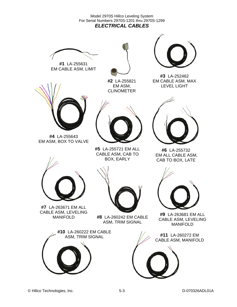Model 2970S Hillco Leveling System For Serial Numbers 2970S-1201 thru 2970S-1299 *ELECTRICAL CABLES* 







**#2** LA-255821 EM ASM, CLINOMETER



**#3** LA-252462 EM CABLE ASM, MAX LEVEL LIGHT



**#4** LA-255643 EM ASM, BOX TO VALVE



**#5** LA-255721 EM ALL CABLE ASM, CAB TO BOX, EARLY



**#6** LA-255732 EM ALL CABLE ASM, CAB TO BOX, LATE



**#7** LA-263671 EM ALL CABLE ASM, LEVELING



MANIFOLD **#8** LA-260242 EM CABLE ASM, TRIM SIGNAL





**#9** LA-263681 EM ALL CABLE ASM, LEVELING MANIFOLD

CABLE ASM, MANIFOLD

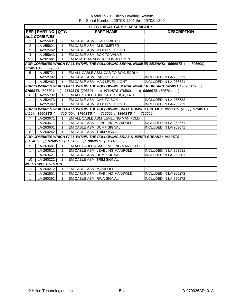|                      | <b>ELECTRICAL CABLE ASSEMBLIES</b> |                |                                                                                          |                              |  |  |  |  |
|----------------------|------------------------------------|----------------|------------------------------------------------------------------------------------------|------------------------------|--|--|--|--|
|                      | <b>REF. PART NO. QTY.</b>          |                | <b>PART NAME</b>                                                                         | <b>DESCRIPTION</b>           |  |  |  |  |
|                      | <b>ALL COMBINES</b>                |                |                                                                                          |                              |  |  |  |  |
| $\mathbf{1}$         | LA-255631                          | 2              | EM CABLE ASM, LIMIT SWITCH                                                               |                              |  |  |  |  |
| 2                    | LA-255821                          | $\mathbf{1}$   | <b>EM CABLE ASM, CLINOMETER</b>                                                          |                              |  |  |  |  |
| 3                    | LA-252462                          | $\mathbf{1}$   | EM CABLE ASM, MAX LEVEL LIGHT                                                            |                              |  |  |  |  |
| 4                    | LA-255643                          | $\mathbf{1}$   | EM CABLE ASM, BOX TO VALVE                                                               |                              |  |  |  |  |
| <b>NS</b>            | LA-261691                          | $\mathbf{1}$   | EM ASM, DIAGNOSTIC CONNECTION                                                            |                              |  |  |  |  |
|                      |                                    |                | FOR COMBINES WHICH FALL WITHIN THE FOLLOWING SERIAL NUMBER BREAKS: 9650STS (             | $-695500$ ;                  |  |  |  |  |
| 9750STS (            | $-695600$                          |                |                                                                                          |                              |  |  |  |  |
| 5                    | LA-255721                          |                | EM ALL CABLE ASM, CAB TO BOX, EARLY                                                      |                              |  |  |  |  |
| $\ddotsc$            | LA-252482                          | 1              | EM CABLE ASM, CAB TO BOX                                                                 | INCLUDED IN LA-255721        |  |  |  |  |
|                      | LA-252462                          | $\overline{1}$ | EM CABLE ASM, MAX LEVEL LIGHT                                                            | <b>INCLUDED IN LA-255721</b> |  |  |  |  |
|                      |                                    |                | FOR COMBINES WHICH FALL WITHIN THE FOLLOWING SERIAL NUMBER BREAKS: 9650STS (695501- );   |                              |  |  |  |  |
|                      |                                    |                | 9750STS (695601- ); 9660STS (705501- ); 9760STS (705601- ); 9860STS (705701-             |                              |  |  |  |  |
| 6                    | LA-255732                          | $\overline{1}$ | EM ALL CABLE ASM, CAB TO BOX, LATE                                                       |                              |  |  |  |  |
|                      | LA-252473                          | $\overline{1}$ | EM CABLE ASM, CAB TO BOX                                                                 | <b>INCLUDED IN LA-255732</b> |  |  |  |  |
|                      | LA-252462                          | $\overline{1}$ | EM CABLE ASM, MAX LEVEL LIGHT                                                            | <b>INCLUDED IN LA-255732</b> |  |  |  |  |
|                      |                                    |                | FOR COMBINES WHICH FALL WITHIN THE FOLLOWING SRIAL NUMBER BREAKS: 9650STS (ALL); 9750STS |                              |  |  |  |  |
|                      | (ALL); 9660STS (                   |                | $-715400$ ; 9760STS ( $-715500$ ); 9860STS (                                             | $-715600$                    |  |  |  |  |
| $7^{\circ}$          | LA-263671                          | $\overline{1}$ | EM ALL CABLE ASM, LEVELING MANIFOLD                                                      |                              |  |  |  |  |
| $\ddot{\phantom{a}}$ | LA-263611                          | $\overline{1}$ | EM CABLE ASM, LEVELING MANIFOLD                                                          | INCLUDED IN LA-263671        |  |  |  |  |
|                      | LA-263601                          | 1              | EM CABLE ASM, DUMP SIGNAL                                                                | <b>INCLUDED IN LA-263671</b> |  |  |  |  |
| 8                    | LA-260242                          | $\mathbf{1}$   | <b>EM CABLE ASM, TRIM SIGNAL</b>                                                         |                              |  |  |  |  |
|                      |                                    |                | <b>FOR COMBINES WHICH FALL WITHIN THE FOLLOWING SRIAL NUMBER BREAKS: 9660STS</b>         |                              |  |  |  |  |
|                      |                                    |                | (715401- ); 9760STS (715501- ); 9860STS (715601- )                                       |                              |  |  |  |  |
| 9                    | LA-263681                          | $\mathbf{1}$   | EM ALL CABLE ASM, LEVELING MANIFOLD                                                      |                              |  |  |  |  |
|                      | LA-263611                          | 1              | EM CABLE ASM, LEVELING MANIFOLD                                                          | INCLUDED IN LA-263681        |  |  |  |  |
|                      | LA-263621                          | $\mathbf{1}$   | EM CABLE ASM, DUMP SIGNAL                                                                | <b>INCLUDED IN LA-263681</b> |  |  |  |  |
| 10                   | LA-260222                          | $\mathbf{1}$   | EM CABLE ASM, TRIM SIGNAL                                                                |                              |  |  |  |  |
|                      | <b>NORTHWEST OPTION</b>            |                |                                                                                          |                              |  |  |  |  |
| 11                   | LA-260272                          | 1              | EM CABLE ASM, MANIFOLD                                                                   |                              |  |  |  |  |
| $\ddot{\phantom{a}}$ | LA-263591                          | $\mathbf{1}$   | EM CABLE ASM, LEVELING MANIFOLD                                                          | INCLUDED IN LA-260272        |  |  |  |  |
|                      | LA-260292                          | $\mathbf 1$    | EM CABLE ASM, RWA SIGNAL                                                                 | INCLUDED IN LA-260272        |  |  |  |  |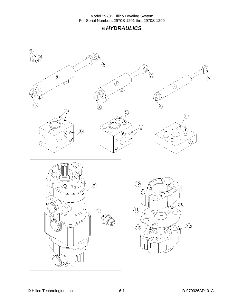### **6** *HYDRAULICS*

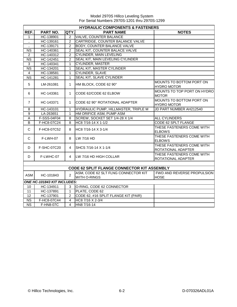|                        | <b>HYDRAULIC COMPONENTS &amp; FASTENERS</b>        |                |                                      |                                                 |  |  |  |
|------------------------|----------------------------------------------------|----------------|--------------------------------------|-------------------------------------------------|--|--|--|
| REF.                   | <b>PART NO.</b>                                    | QTY.           | <b>PART NAME</b>                     | <b>NOTES</b>                                    |  |  |  |
| 1                      | HC-138901                                          | 2              | <b>VALVE, COUNTER BALANCE</b>        |                                                 |  |  |  |
| Ω.                     | HC-139161                                          | 2              | CARTRIDGE, COUNTER BALANCE VALVE     |                                                 |  |  |  |
| $\ddot{\phantom{a}}$   | HC-139171                                          | $\overline{2}$ | <b>BODY, COUNTER BALANCE VALVE</b>   |                                                 |  |  |  |
| $\overline{\text{NS}}$ | HC-140361                                          | $\overline{2}$ | SEAL KIT, COUNTER BALACE VALVE       |                                                 |  |  |  |
| $\overline{2}$         | HC-140312                                          | $\overline{2}$ | <b>CYLINDER, MAIN LEVELING</b>       |                                                 |  |  |  |
| <b>NS</b>              | HC-142451                                          | 2              | SEAL KIT, MAIN LEVELING CYLINDER     |                                                 |  |  |  |
| 3                      | HC-140341                                          | $\mathbf{1}$   | <b>CYLINDER, MASTER</b>              |                                                 |  |  |  |
| $\overline{\text{NS}}$ | HC-134201                                          | $\mathbf{1}$   | SEAL KIT, MASTER CYLINDER            |                                                 |  |  |  |
| $\overline{4}$         | HC-138581                                          | $\mathbf{1}$   | <b>CYLINDER, SLAVE</b>               |                                                 |  |  |  |
| $\overline{\text{NS}}$ | HC-141281                                          | $\mathbf{1}$   | SEAL KIT, SLAVE CYLINDER             |                                                 |  |  |  |
| $\sqrt{5}$             | LM-261081                                          | $\mathbf{1}$   | HM BLOCK, CODE 62 90°                | MOUNTS TO BOTTOM PORT ON<br><b>HYDRO MOTOR</b>  |  |  |  |
| 6                      | HC-143361                                          | $\mathbf{1}$   | CODE 62/CODE 62 ELBOW                | MOUNTS TO TOP PORT ON HYDRO<br><b>MOTOR</b>     |  |  |  |
| $\overline{7}$         | HC-143371                                          | $\mathbf{1}$   | CODE 62 90° ROTATIONAL ADAPTER       | MOUNTS TO BOTTOM PORT ON<br><b>HYDRO MOTOR</b>  |  |  |  |
| 8                      | HC-143101                                          | $\mathbf{1}$   | HYDRAULIC PUMP, HILLMASTER, TRIPLE M | JD PART NUMBER AH212540                         |  |  |  |
| 9                      | LA-263651                                          | $\mathbf{1}$   | HM ORIFICE ASM, PUMP ASM             |                                                 |  |  |  |
| A                      | F-SSS-04F04                                        | 8              | SCREW, SOCKET SET 1/4-28 X 1/4       | ALL CYLINDERS                                   |  |  |  |
| B                      | F-HC8-07C24                                        | 8              | HC8 7/16-14 X 1-1/2                  | CODE 62 SPLT FLANGE                             |  |  |  |
| C                      | F-HC8-07C52                                        | 8              | HC8 7/16-14 X 3-1/4                  | THESE FASTENERS COME WITH<br><b>ELBOWS</b>      |  |  |  |
| $\mathsf{C}$           | F-LWH-07                                           | 8              | LW 7/16 HD                           | THESE FASTENERS COME WITH<br><b>ELBOWS</b>      |  |  |  |
| D                      | F-SHC-07C20                                        | 4              | SHCS 7/16-14 X 1-1/4                 | THESE FASTENERS COME WITH<br>ROTATIONAL ADAPTER |  |  |  |
| D                      | F-LWHC-07                                          | $\overline{4}$ | LW 7/16 HD HIGH COLLAR               | THESE FASTENERS COME WITH<br>ROTATIONAL ADAPTER |  |  |  |
|                        | <b>CODE 62 SPLIT FLANGE CONNECTOR KIT ASSEMBLY</b> |                |                                      |                                                 |  |  |  |
|                        |                                                    |                | ASM, CODE 62 SLT FLNG CONNECTOR KIT  | FWD AND REVERSE PROPULSION                      |  |  |  |
| ASM                    | HC-101843                                          | $\overline{2}$ | <b>WITH O-RINGS</b>                  | <b>HOSE</b>                                     |  |  |  |
|                        | ONE HC-101843 KIT INCLUDES:                        |                |                                      |                                                 |  |  |  |
| 10                     | HC-134911                                          | 3              | O-RING, CODE 62 CONNECTOR            |                                                 |  |  |  |
| 11                     | HC-137891                                          | $\mathbf{1}$   | PLATE, CODE 62                       |                                                 |  |  |  |
| 12                     | HC-137901                                          | 2              | CODE 62, #16 SPLIT FLANGE KIT (PAIR) |                                                 |  |  |  |
| $\overline{\text{NS}}$ | F-HC8-07C44                                        | $\overline{4}$ | HC8 7/16 X 2-3/4                     |                                                 |  |  |  |
| <b>NS</b>              | F-HN8-07C                                          | $\overline{4}$ | HN8 7/16-14                          |                                                 |  |  |  |
|                        |                                                    |                |                                      |                                                 |  |  |  |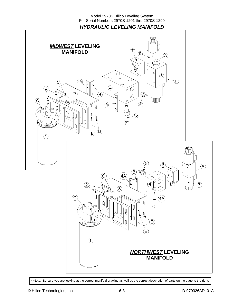*HYDRAULIC LEVELING MANIFOLD* 



\*\*Note: Be sure you are looking at the correct manifold drawing as well as the correct description of parts on the page to the right.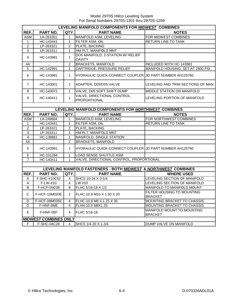|                | LEVELING MANIFOLD COMPONENTS FOR MIDWEST COMBINES |                         |                                                                 |                                              |  |  |
|----------------|---------------------------------------------------|-------------------------|-----------------------------------------------------------------|----------------------------------------------|--|--|
| REF.           | PART NO.                                          | QTY.                    | <b>PART NAME</b>                                                | <b>NOTES</b>                                 |  |  |
| <b>ASM</b>     | LA-263261                                         | $\mathbf{1}$            | MANIFOLD ASM, LEVELING                                          | FOR MIDWEST COMBINES                         |  |  |
| $\mathbf{1}$   | HC-143441                                         | $\mathbf{1}$            | <b>FILTER ASM. OIL</b>                                          | <b>RETURN LINE TO TANK</b>                   |  |  |
| $\overline{2}$ | LP-263321                                         | 2                       | PLATE, BACKING                                                  |                                              |  |  |
| 3              | LP-263311                                         | $\mathbf 1$             | HM PLT, MANIFOLD MNT                                            |                                              |  |  |
| $\overline{4}$ | HC-143981                                         | 1                       | DO5 MANIFOLD, 2-STATION W/ RELIEF<br><b>CAVITY</b>              |                                              |  |  |
| 4A             | $\mathcal{L}_{\mathcal{A}}$                       | $\overline{c}$          | <b>BRACKETS, MANIFOLD</b>                                       | INCLUDED WITH HC-143981                      |  |  |
| $\overline{5}$ | HC-142991                                         | $\mathbf{1}$            | CARTRIDGE, PRESSURE RELIEF                                      | MANIFOLD HOUSING; SET AT 2800 PSI            |  |  |
| 6              | HC-143991                                         | $\mathbf{1}$            | HYDRAULIC QUICK-CONNECT COUPLER JJD PART NUMBER AH125760        |                                              |  |  |
| $\overline{7}$ | HC-143001                                         | $\mathbf 1$             | ADAPTER, D03/D05 VALVE                                          | LEVELING AND TRIM SECTIONS OF MAN            |  |  |
| 8              | HC-143071                                         | $\mathbf{1}$            | VALVE, D05 SOFT SHIFT DUMP                                      | MIDDLE STATION ON MANIFOLD                   |  |  |
| 9              | HC-140411                                         | $\mathbf{1}$            | VALVE, DIRECTIONAL CONTROL,<br>PROPORTIONAL                     | LEVELING PORTION OF MANIFOLD                 |  |  |
|                |                                                   |                         |                                                                 |                                              |  |  |
|                |                                                   |                         | LEVELING MANIFOLD COMPONENTS FOR NORTHWEST COMBINES             |                                              |  |  |
| REF.           | PART NO.                                          | QTY.                    | <b>PART NAME</b>                                                | <b>NOTES</b>                                 |  |  |
| ASM            | LA-249684                                         | 1                       | MANIFOLD ASM, LEVELING                                          | FOR NORTHWEST COMBINES                       |  |  |
| $\mathbf{1}$   | HC-143441                                         | $\mathbf{1}$            | FILTER ASM, OIL                                                 | RETURN LINE TO TANK                          |  |  |
| $\overline{2}$ | LP-263321                                         | 2                       | PLATE, BACKING                                                  |                                              |  |  |
| 3              | LP-263311                                         | $\mathbf{1}$            | HM PLT, MANIFOLD MNT                                            |                                              |  |  |
| $\overline{4}$ | HC-138861                                         | $\mathbf{1}$            | MANIFOLD, SINGLE STATION                                        |                                              |  |  |
| 4A             | $\sim$                                            | $\overline{2}$          | <b>BRACKETS, MANIFOLD</b>                                       |                                              |  |  |
| 5              | HC-143991                                         | $\mathbf{1}$            | HYDRAULIC QUICK-CONNECT COUPLER JD PART NUMBER AH125760         |                                              |  |  |
| 6              | HC-101264                                         | $\mathbf{1}$            | LOAD SENSE SHUTTLE ASM                                          |                                              |  |  |
| $\overline{7}$ | HC-140411                                         | $\mathbf 1$             | VALVE, DIRECTIONAL CONTROL, PROPORTIONAL                        |                                              |  |  |
|                |                                                   |                         |                                                                 |                                              |  |  |
|                |                                                   |                         | LEVELING MANIFOLD FASTENERS - BOTH MIDWEST & NORTHWEST COMBINES |                                              |  |  |
| REF.           | PART NO.                                          | QTY.I                   | <b>PART NAME</b>                                                | <b>WHERE USED</b>                            |  |  |
| A              | F-SHC-#10C52                                      | 4                       | SHCS 10-24 X 3-1/4                                              | LEVELING SECTION OF MANIFOLD                 |  |  |
| A              | F-LW-#10                                          | $\overline{4}$          | LW #10                                                          | LEVELING SECTION OF MANIFOLD                 |  |  |
| B              | F-HCF-05C08                                       | 8                       | FLHC 5/16-18 X 1/2                                              | MANIFOLD TO MANIFOLD MOUNT                   |  |  |
| C              | F-HCF-10M020E                                     | $\overline{2}$          | FLHC-10.9 M10 X 1.50 X 20                                       | FILTER HOUSING TO MOUNTING<br><b>BRACKET</b> |  |  |
| D              | F-HCF-08M035E                                     | 4                       | FLHC-10.9 M8 X 1.25 X 35                                        | MOUNTING BRACKET TO CHASSIS                  |  |  |
| D              | F-HNF-8ME                                         | $\overline{\mathbf{4}}$ | FLHN-10.9 M8X1.25                                               | MOUNTING BRACKET TO CHASSIS                  |  |  |
| E.             | F-HNF-05F                                         | $\overline{4}$          | <b>IFLHC 5/16-18</b>                                            | MANIFOLD MOUNT TO MOUNTING<br><b>BRACKET</b> |  |  |
|                | <b>MIDWEST COMBINES ONLY</b>                      |                         |                                                                 |                                              |  |  |
| F              | F-SHC-04C28                                       | 4                       | SHCS 1/4-20 X 1-3/4                                             | DUMP VALVE ON MANIFOLD                       |  |  |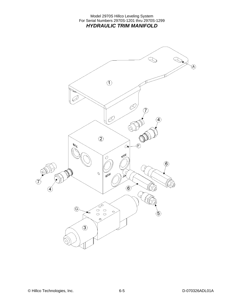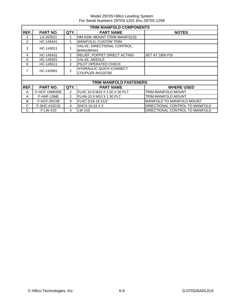|      | TRIM MANIFOLD COMPONENTS |                |                                                    |                                   |  |  |
|------|--------------------------|----------------|----------------------------------------------------|-----------------------------------|--|--|
| REF. | PART NO.                 | QTY.           | <b>PART NAME</b>                                   | <b>NOTES</b>                      |  |  |
|      | LA-263521                |                | HM ASM, MOUNT (TRIM MANIFOLD)                      |                                   |  |  |
| 2    | HC-145441                |                | MANIFOLD, CUSTOM TRIM                              |                                   |  |  |
| 3    | HC-143011                |                | VALVE, DIRECTIONAL CONTROL,<br><b>BANG/BANG</b>    |                                   |  |  |
| 4    | HC-145431                | $\overline{2}$ | RELIEF, POPPET DIRECT ACTING                       | SET AT 1800 PSI                   |  |  |
| 5    | HC-145501                |                | VALVE, NEEDLE                                      |                                   |  |  |
| 6    | HC-145511                | $\overline{2}$ | PILOT OPERATED CHECK                               |                                   |  |  |
| 7    | HC-143991                | 2              | <b>HYDRAULIC QUICK-CONNECT</b><br>COUPLER AH125760 |                                   |  |  |
|      |                          |                |                                                    |                                   |  |  |
|      |                          |                | TRIM MANIFOLD FASTENERS                            |                                   |  |  |
| REF. | PART NO.                 | QTY.           | <b>PART NAME</b>                                   | <b>WHERE USED</b>                 |  |  |
| A    | F-HCF-10M030E            | $\overline{2}$ | FLHC 10.9 M10 X 1.50 X 30 PLT                      | <b>TRIM MANIFOLD MOUNT</b>        |  |  |
| A    | F-HNF-10ME               | $\overline{2}$ | FLHN-10.9 M10 X 1.50 PLT                           | <b>TRIM MANIFOLD MOUNT</b>        |  |  |
| В    | F-HCF-05C08              | 8              | FLHC 5/16-18 X1/2                                  | <b>MANIFOLD TO MANIFOLD MOUNT</b> |  |  |
| C    | F-SHC-#10C32             | 4              | SHCS 10-24 X 2                                     | DIRECTIONAL CONTROL TO MANIFOLD   |  |  |
| C    | $F-LW-#10$               | 4              | LW #10                                             | DIRECTIONAL CONTROL TO MANIFOLD   |  |  |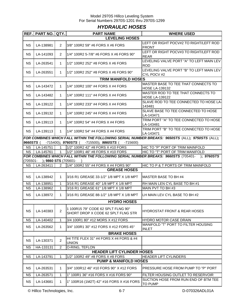### *HYDRAULIC HOSES*

|                       | REF. PART NO. QTY.         |                | <b>PART NAME</b>                                                         | <b>WHERE USED</b>                                                                                |  |  |  |  |  |
|-----------------------|----------------------------|----------------|--------------------------------------------------------------------------|--------------------------------------------------------------------------------------------------|--|--|--|--|--|
| <b>LEVELING HOSES</b> |                            |                |                                                                          |                                                                                                  |  |  |  |  |  |
| <b>NS</b>             | LA-138981                  | $\overline{2}$ | 3/8" 100R2 59" #6 FORS X #6 FORS                                         | LEFT OR RIGHT POCV#2 TO RIGHT/LEFT ROD<br><b>FRONT</b>                                           |  |  |  |  |  |
| <b>NS</b>             | LA-141093                  | $\overline{2}$ | 1/4" 100R2 5-7/8" #6 FORS X #6 FORS 90°                                  | LEFT OR RIGHT POCV#3 TO RIGHT/LEFT ROD<br><b>REAR</b>                                            |  |  |  |  |  |
| <b>NS</b>             | LA-263541                  | $\mathbf 1$    | 1/2" 100R2 252" #8 FORS X #6 FORS                                        | LEVELING VALVE PORT "A" TO LEFT MAIN LEV<br>ROD                                                  |  |  |  |  |  |
| <b>NS</b>             | LA-263551                  | $\mathbf{1}$   | 1/2" 100R2 252" #8 FORS X #6 FORS 90°                                    | LEVELING VALVE PORT "B" TO LEFT MAIN LEV<br>CYL POCV #2                                          |  |  |  |  |  |
|                       | <b>TRIM MANIFOLD HOSES</b> |                |                                                                          |                                                                                                  |  |  |  |  |  |
| <b>NS</b>             | LA-143472                  | $\mathbf{1}$   | 1/4" 100R2 100" #4 FORS X #4 FORS                                        | MASTER BASE TO TEE THAT CONNECTS TO<br><b>HOSE LA-139132</b>                                     |  |  |  |  |  |
| <b>NS</b>             | LA-143482                  | $\mathbf{1}$   | 1/4" 100R2 111" #4 FORS X #4 FORS                                        | MASTER ROD TO TEE THAT CONNECTS TO<br><b>HOSE LA-139122</b>                                      |  |  |  |  |  |
| <b>NS</b>             | LA-139122                  | $\mathbf{1}$   | 1/4" 100R2 233" #4 FORS X #4 FORS                                        | SLAVE ROD TO TEE CONNECTED TO HOSE LA-<br>143481                                                 |  |  |  |  |  |
| <b>NS</b>             | LA-139132                  | $\mathbf{1}$   | 1/4" 100R2 245" #4 FORS X #4 FORS                                        | SLAVE BASE TO TEE CONNECTED TO HOSE<br>LA-143471                                                 |  |  |  |  |  |
| <b>NS</b>             | LA-139113                  | $\mathbf{1}$   | 1/4" 100R2 54" #4 FORS X #4 FORS                                         | TRIM PORT "A" TO TEE CONNECTED TO HOSE<br>LA-143481                                              |  |  |  |  |  |
| <b>NS</b>             | LA-139113                  | $\mathbf{1}$   | 1/4" 100R2 54" #4 FORS X #4 FORS                                         | TRIM PORT "B" TO TEE CONNECTED TO HOSE<br>LA-143471                                              |  |  |  |  |  |
|                       |                            |                |                                                                          | FOR COMBINES WHICH FALL WITHIN THE FOLLOWING SERIAL NUMBER BREAKS: 9650STS (ALL); 9750STS (ALL); |  |  |  |  |  |
| 9660STS (             |                            |                | -715400); <b>9760STS</b> ( -715500); <b>9860STS</b> (<br>-715600)        |                                                                                                  |  |  |  |  |  |
| <b>NS</b>             | LA-145751                  | $\mathbf{1}$   | 1/2" 100R2 42" #8 FORS X #10 FORS                                        | HIC TO "P" PORT OF TRIM MAINFOLD                                                                 |  |  |  |  |  |
| <b>NS</b>             | LA-145761                  | $\overline{1}$ | 1/2" 100R1 46" #8 FORS X #10 FORS                                        | HIC TO "T" PORT OF TRIM MANIFOLD                                                                 |  |  |  |  |  |
| (705501-              | ); 9860 STS (705601-       |                |                                                                          | FOR COMBINES WHICH FALL WITHIN THE FOLLOWING SERIAL NUMBER BREAKS: 9660STS (705401- ); 9760STS   |  |  |  |  |  |
| ΝS                    | LA-263411                  | 2              | 1/4" 100R2 55" #4 FORS X #4 FORS 90°                                     | HIC TO P & T PORTS OF TRIM MAINFOLD                                                              |  |  |  |  |  |
|                       |                            |                | <b>GREASE HOSES</b>                                                      |                                                                                                  |  |  |  |  |  |
| <b>NS</b>             | LA-138942                  | 1              | 3/16 R1 GREASE 33-1/2" 1/8 MPT X 1/8 MPT                                 | MASTER BASE TO BH #4                                                                             |  |  |  |  |  |
| NS.                   | LA-138951                  | 1              | 3/16 R1 GREASE 40" 1/8 MPT X 1/8 MPT                                     | RH MAIN LEN CYL BASE TO BH #1                                                                    |  |  |  |  |  |
| NS.                   | LA-138962                  | 1              | 3/16 R1 GREASE 61" 1/8 MPT X 1/8 MPT                                     | MAIN PVT TO BH #3                                                                                |  |  |  |  |  |
| <b>NS</b>             | LA-138972                  | $\mathbf{1}$   | 3/16 R1 GREASE 88-1/2" 1/8 MPT X 1/8 MPT                                 | LH MAIN LEV CYL BASE TO BH #2                                                                    |  |  |  |  |  |
|                       |                            |                | <b>HYDRO HOSES</b>                                                       |                                                                                                  |  |  |  |  |  |
| <b>NS</b>             | LA-140383                  | $\overline{2}$ | 1 100R15 79" CODE 62 SPLT FLNG 90°<br>SHORT DROP X CODE 62 SPLT FLNG STR | HYDROSTAT FRONT & REAR HOSES.                                                                    |  |  |  |  |  |
| <b>NS</b>             | LA-140402                  | $\mathbf{1}$   | 3/4 100R1 80" #12 MORS X #12 FORS                                        | HYDRO MOTOR CASE DRAIN                                                                           |  |  |  |  |  |
| <b>NS</b>             | LA-263562                  | 1              | 3/4" 100R1 30" #12 FORS X #12 FORS 45°                                   | MANIFOLD "T" PORT TO FILTER HOUSING<br><b>INLET</b>                                              |  |  |  |  |  |
|                       |                            |                | <b>BRAKE HOSES</b>                                                       |                                                                                                  |  |  |  |  |  |
| <b>NS</b>             | LA-130371                  | $\overline{2}$ | #4 TITE FLEX 31" #4 FORS X #4 FORS & #4<br><b>UNION</b>                  |                                                                                                  |  |  |  |  |  |
| <b>NS</b>             | HA-133131                  | $\overline{2}$ | O-RING, TEFLON                                                           |                                                                                                  |  |  |  |  |  |
|                       |                            |                | <b>HEADER LIFT CYLINDER HOSES</b>                                        |                                                                                                  |  |  |  |  |  |
| <b>NS</b>             | LA-143791                  | 1              | 1/2" 100R2 49" #8 FORS X #8 FORS                                         | <b>HEADER LIFT CYLINDERS</b>                                                                     |  |  |  |  |  |
|                       |                            |                | <b>PUMP &amp; MANIFOLD HOSES</b>                                         |                                                                                                  |  |  |  |  |  |
| <b>NS</b>             | LA-263531                  | 1              | 3/4" 100R12 46" #10 FORS 90° X #12 FORS                                  | PRESSURE HOSE FROM PUMP TO "P" PORT                                                              |  |  |  |  |  |
| <b>NS</b>             | LA-263571                  | $\mathbf{1}$   | 1" 100R1 36" #16 FORS X #16 FORS 90°                                     | FILTER HOUSING OUTLET TO RESERVOIR                                                               |  |  |  |  |  |
| <b>NS</b>             | LA-143681                  | $\mathbf{1}$   | 1" 100R16 (1M2T) 42" #16 FORS X #16 FORS                                 | SUCTION HOSE FROM RUN END OF BTM TEE<br>TO PUMP                                                  |  |  |  |  |  |

© Hillco Technologies, Inc. 6-7 6-7 D-070326ADL01A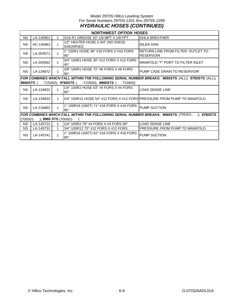### Model 2970S Hillco Leveling System For Serial Numbers 2970S-1201 thru 2970S-1299 *HYDRAULIC HOSES (CONTINUED)*

|           | <b>NORTHWEST OPTION HOSES</b>        |              |                                                                         |                                                                                                  |  |  |  |  |
|-----------|--------------------------------------|--------------|-------------------------------------------------------------------------|--------------------------------------------------------------------------------------------------|--|--|--|--|
| NS.       | LA-145901                            |              | 3/16 R1 GREASE 10" 1/8 MPT X 1/8 FPT                                    | <b>OHLA BREATHER</b>                                                                             |  |  |  |  |
| <b>NS</b> | HC-145861                            | 1            | 1/2" HEATER HOSE 2-3/4" (NO ENDS)<br>SAE20R3D2                          | <b>IDLER ASM</b>                                                                                 |  |  |  |  |
| <b>NS</b> | LA-263571                            | 1            | 1" 100R1 HOSE 36" #16 FORS X #16 FORS<br>$90^{\circ}$                   | RETURN LINE FROM FILTER OUTLET TO<br><b>RESERVOIR</b>                                            |  |  |  |  |
| <b>NS</b> | LA-263562                            | 1            | 3/4" 100R1 HOSE 30" #12 FORS X #12 FORS<br>$45^{\circ}$                 | <b>MANIFOLD "T" PORT TO FILTER INLET</b>                                                         |  |  |  |  |
| <b>NS</b> | LA-134872                            | 1            | 3/8" 100R1 HOSE 72" #6 FORS X #6 FORS<br>$90^\circ$                     | PUMP CASE DRAIN TO RESERVOIR                                                                     |  |  |  |  |
|           |                                      |              |                                                                         | FOR COMBINES WHICH FALL WITHIN THE FOLLOWING SERIAL NUMBER BREAKS: 9650STS (ALL); 9750STS (ALL); |  |  |  |  |
| 9660STS(  |                                      |              | $-715400$ ; 9760STS (<br>$-715500$ ; 9860STS (<br>$-715600$             |                                                                                                  |  |  |  |  |
| <b>NS</b> | LA-134822                            | $\mathbf{1}$ | 1/4" 100R2 HOSE 63" #4 FORS X #4 FORS<br>$90^\circ$                     | LOAD SENSE LINE                                                                                  |  |  |  |  |
| <b>NS</b> | LA-134832                            | $\mathbf 1$  | 3/4" 100R12 HOSE 54" #12 FORS X #12 FORSIPRESSURE FROM PUMP TO MANIFOLD |                                                                                                  |  |  |  |  |
| <b>NS</b> | LA-134862                            | 1            | 1" 100R16 (1M2T) 71" #16 FORS X #16 FORS<br>$90^\circ$                  | <b>PUMP SUCTION</b>                                                                              |  |  |  |  |
|           |                                      |              |                                                                         | FOR COMBINES WHICH FALL WITHIN THE FOLLOWING SERIAL NUMBER BREAKS: 9660STS (705401- ); 9760STS   |  |  |  |  |
|           | (705501-<br>$\,$ ; 9860 STS (705601- |              |                                                                         |                                                                                                  |  |  |  |  |
| <b>NS</b> | LA-145721                            | 1            | 1/4" 100R2 79" #4 FORS X #4 FORS 90°                                    | <b>LOAD SENSE LINE</b>                                                                           |  |  |  |  |
| <b>NS</b> | LA-145731                            | 1            | 3/4" 100R12 70" #12 FORS X #12 FORS                                     | <b>PRESSURE FROM PUMP TO MANIFOLD</b>                                                            |  |  |  |  |
| <b>NS</b> | LA-145741                            | 1            | 1" 100R16 (1M2T) 62" #16 FORS X #16 FORS<br>$90^{\circ}$                | <b>PUMP SUCTION</b>                                                                              |  |  |  |  |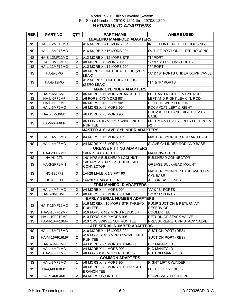### Model 2970S Hillco Leveling System For Serial Numbers 2970S-1201 thru 2970S-1299 *HYDRAULIC ADAPTERS*

| REF.      | PART NO.                          | QTY.           | <b>PART NAME</b>                                  | <b>WHERE USED</b>                                 |  |  |  |  |  |
|-----------|-----------------------------------|----------------|---------------------------------------------------|---------------------------------------------------|--|--|--|--|--|
|           | <b>LEVELING MANIFOLD ADAPTERS</b> |                |                                                   |                                                   |  |  |  |  |  |
| <b>NS</b> | HA-L-12MF16MO                     | 1              | #16 MORB X #12 MORS 90°                           | INLET PORT ON FILTER HOUSING                      |  |  |  |  |  |
| <b>NS</b> | HA-L-16MF16MO                     | 1              | #16 MORB X #16 MORS 90°                           | OUTLET PORT ON FILTER HOUSING                     |  |  |  |  |  |
| <b>NS</b> | HA-S-12MF12MO                     | 1              | #12 MORB X #12 MORS STR                           | "T" PORT                                          |  |  |  |  |  |
| <b>NS</b> | HA-L-8MF8MO                       | $\overline{2}$ | #8 MORB X #8 MORS 90°                             | "A" & "B" LEVELING PORTS                          |  |  |  |  |  |
| <b>NS</b> | HA-L-12MF12MO                     | 1              | #12 MORB X #12 MORS 90°                           | "P" PORT                                          |  |  |  |  |  |
| <b>NS</b> | HA-E-8MO                          | $\overline{2}$ | #8 MORB SOCKET HEAD PLUG (ZERO-<br>LEAK)          | "A" & "B" PORTS UNDER DUMP VAVLE                  |  |  |  |  |  |
| <b>NS</b> | <b>HA-E-12MO</b>                  | 2              | #12 MORB SOCKET HEAD PLUG<br>(ZERO-LEAK)          | "T" & "P" PORTS                                   |  |  |  |  |  |
|           |                                   |                | <b>MAIN CYLINDER ADAPTERS</b>                     |                                                   |  |  |  |  |  |
| <b>NS</b> | HA-K-6MF6MO                       | $\overline{c}$ | #6 MORB X #6 MORS BRANCH TEE                      | LEFT AND RIGHT LEV CYL ROD                        |  |  |  |  |  |
| <b>NS</b> | HA-L-6FF6MF                       | 3              | #6 FORS X #6 MORS 90°                             | LEFT AND RIGHT LEV CYL ROD                        |  |  |  |  |  |
| <b>NS</b> | HA-L-6FF6MF                       | $\mathbf{1}$   | #6 MORS X #6 FORS 90°                             | RIGHT LOWER POCV #2                               |  |  |  |  |  |
| <b>NS</b> | HA-L-6MF6MO                       | 4              | #6 MORS X #6 MORB 90°                             | POCV #2,#3 LEFT & RIGHT                           |  |  |  |  |  |
| <b>NS</b> | HA-L-6MO6MO                       | $\overline{2}$ | #6 MORB X #6 MORB 90°                             | POCV #1 LEFT AND RIGHT LEV CYL<br><b>BASE</b>     |  |  |  |  |  |
| <b>NS</b> | HA-M-6FF6MF                       | $\overline{2}$ | #6 FORS X #6 MORS SWIVEL NUT<br><b>RUN TEE</b>    | LEFT MAIN LEV CYL ROD/ LEFT POCV<br>#2            |  |  |  |  |  |
|           |                                   |                | <b>MASTER &amp; SLAVE CYLINDER ADAPTERS</b>       |                                                   |  |  |  |  |  |
| <b>NS</b> | HA-L-4MF6MO                       | 2              | #4 MORS X #6 MORB 90°                             | MASTER CYLINDER ROD AND BASE                      |  |  |  |  |  |
| <b>NS</b> | HA-L-4MF6MO                       | 2              | #4 MORS X #6 MORB 90°                             | SLAVE CYLINDER ROD AND BASE                       |  |  |  |  |  |
|           |                                   |                | <b>GREASE FITTING ADAPTERS</b>                    |                                                   |  |  |  |  |  |
| <b>NS</b> | HA-L-2FP2MP                       | 1              | 1/8 NPT 90 STREET EL                              | <b>MAIN PIVOT PIN</b>                             |  |  |  |  |  |
| <b>NS</b> | HA-NJ-2FN                         | 4              | 1/8" NPSM BULKHEAD LOCKNUT                        | <b>BULKHEAD CONNECTOR</b>                         |  |  |  |  |  |
| <b>NS</b> | HA-S-2FP2MN                       | $\overline{4}$ | 1/8" NPSM X 1/8" FPT BULKHEAD<br><b>CONNECTOR</b> | <b>GREASE BULKHEAD MOUNT</b>                      |  |  |  |  |  |
| <b>NS</b> | HC-135771                         | 3              | 1/4-28 MALE X 1/8 FPT 90°                         | MASTER CYLINDER BASE, MAIN LEV<br><b>CYL BASE</b> |  |  |  |  |  |
| <b>NS</b> | HC-138011                         | 4              | 1/4-28 STRAIGHT ZERK                              | ALL GREASE LINES                                  |  |  |  |  |  |
|           |                                   |                | TRIM MANIFOLD ADAPTERS                            |                                                   |  |  |  |  |  |
| <b>NS</b> | HA-L-4MF4MO                       | $\overline{2}$ | #4 MORB X #4 MORS 90°                             | "A" & "B" PORTS                                   |  |  |  |  |  |
| <b>NS</b> | HA-S-8MF8MO                       | 2              | #8 MORS X #8 MORB STRAIGHT                        | "P" & "T" PORTS                                   |  |  |  |  |  |
|           |                                   |                | <b>EARLY SERIAL NUMBER ADAPTERS</b>               |                                                   |  |  |  |  |  |
| <b>NS</b> | HA-T-16MF16MO                     | $\overline{c}$ | #16 MORBX #16 MORS STR THREAD<br><b>RUN TEE</b>   | PUMP SUCTION & RETURN AT<br><b>RESERVIOR</b>      |  |  |  |  |  |
| <b>NS</b> | HA-S-16FF12MF                     | 1              | #16 FORS X #12 MORS REDUCER                       | <b>COOLER TEE</b>                                 |  |  |  |  |  |
| <b>NS</b> | HA-L-10FF10MF                     | 1              | #10 FORS X #10 MORS 90°                           | RETURN OF STACK VALVE                             |  |  |  |  |  |
| <b>NS</b> | HA-M-10FF10MF                     | 2              | #10 ORS SWIVEL NUT RUN TEE                        | PRESSURE/RETURN STACK VALVE                       |  |  |  |  |  |
|           |                                   |                | <b>LATE SERIAL NUMBER ADAPTERS</b>                |                                                   |  |  |  |  |  |
| <b>NS</b> | HA-L-16MF16MO                     | 1              | #16 MORB X #16 MORS 90°                           | <b>SUCTION PORT (RES)</b>                         |  |  |  |  |  |
| <b>NS</b> | HA-M-16FF16MF                     | $\overline{2}$ | #16 FORS X #16 MORS SWIVEL NUT<br><b>RUN TEE</b>  | <b>SUCTION PORT (RES)</b>                         |  |  |  |  |  |
| <b>NS</b> | HA-S-4MF4MO                       | 1              | #4 MORB X #4 MORS STRAIGHT                        | <b>HIC MANIFOLD</b>                               |  |  |  |  |  |
| <b>NS</b> | HA-L-4MF4MO                       | 1              | #4 MORB X #4 MORS 90°                             | <b>HIC MANIFOLD</b>                               |  |  |  |  |  |
| <b>NS</b> | HA-S-8FF4MF                       | 2              | #8 FORS X #4 MORS REDUCER                         | P/T TRIM MANIFOLD                                 |  |  |  |  |  |
|           |                                   |                | <b>COMMON ADAPTERS</b>                            |                                                   |  |  |  |  |  |
| <b>NS</b> | HA-L-8MF8MO                       | 1              | #8 MORS X #8 MORB 90°                             | RIGHT LIFT CYLINDER                               |  |  |  |  |  |
| <b>NS</b> | HA-Q-8MF8MO                       | 1              | #8 MORB X #8 MORS STR THREAD<br><b>BRANCH TEE</b> | LEFT LIFT CYLINDER                                |  |  |  |  |  |
| <b>NS</b> | HA-Y-4MF4MF                       | 2              | #4 MORS UNION TEE                                 | SLAVE/MASTER UNION                                |  |  |  |  |  |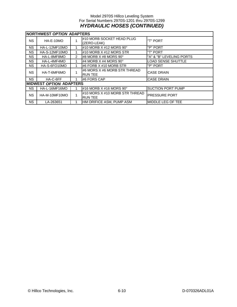### Model 2970S Hillco Leveling System For Serial Numbers 2970S-1201 thru 2970S-1299 *HYDRAULIC HOSES (CONTINUED)*

|           | NORTHWEST <i>OPTION</i> ADAPTERS |   |                                                  |                           |  |  |  |
|-----------|----------------------------------|---|--------------------------------------------------|---------------------------|--|--|--|
| NS.       | HA-E-10MO                        |   | #10 MORB SOCKET HEAD PLUG<br>(ZERO-LEAK)         | I"T" PORT                 |  |  |  |
| NS.       | HA-L-12MF10MO                    |   | #10 MORB $X$ #12 MORS 90 $^{\circ}$              | "P" PORT                  |  |  |  |
| NS.       | HA-S-12MF10MO                    |   | #10 MORB X #12 MORS STR                          | "T" PORT                  |  |  |  |
| NS.       | HA-L-8MF8MO                      | 2 | #8 MORB X #8 MORS 90°                            | "A" & "B" LEVELING PORTS  |  |  |  |
| NS.       | HA-L-4MF4MO                      |   | #4 MORB X #4 MORS 90 $^{\circ}$                  | <b>LOAD SENSE SHUTTLE</b> |  |  |  |
| NS.       | HA-S-6FO10MO                     |   | #6 FORB X #10 MORB STR                           | "P" PORT                  |  |  |  |
| NS.       | HA-T-6MF6MO                      |   | #6 MORS X #6 MORB STR THREAD<br><b>RUN TEE</b>   | <b>CASE DRAIN</b>         |  |  |  |
| <b>NS</b> | HA-C-6FF                         |   | #6 FORS CAP                                      | <b>CASE DRAIN</b>         |  |  |  |
|           | <b>IMIDWEST OPTION ADAPTERS</b>  |   |                                                  |                           |  |  |  |
| NS.       | HA-L-16MF16MO                    |   | #16 MORB X #16 MORS 90°                          | <b>SUCTION PORT PUMP</b>  |  |  |  |
| <b>NS</b> | HA-M-10MF10MO                    | 4 | #10 MORS X #10 MORB STR THREAD<br><b>RUN TEE</b> | <b>PRESSURE PORT</b>      |  |  |  |
| NS.       | LA-263651                        | 1 | HM ORIFICE ASM, PUMP ASM                         | <b>IMIDDLE LEG OF TEE</b> |  |  |  |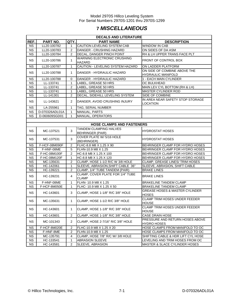### **7** *MISCELLANEOUS*

|           | <b>DECALS AND LITERATURE</b> |                |                                                   |                                                           |  |  |  |  |
|-----------|------------------------------|----------------|---------------------------------------------------|-----------------------------------------------------------|--|--|--|--|
| REF.      | PART NO.                     | QTY.           | <b>PART NAME</b>                                  | <b>DESCRIPTION</b>                                        |  |  |  |  |
| <b>NS</b> | LL20-100782                  | 1              | CAUTION LEVELING SYSTEM CAB                       | <b>WINDOW IN CAB</b>                                      |  |  |  |  |
| <b>NS</b> | LL20-100783                  | 2              | DANGER - CRUSHING HAZARD                          | ON SIDES OF DA ASM                                        |  |  |  |  |
| <b>NS</b> | LL20-100784                  | 2              | DECAL, DANGER PINCH POINT                         | RH & LH UPPER TRANS FACE PLT                              |  |  |  |  |
| <b>NS</b> | LL20-100786                  | 1              | <b>WARNING ELECTRONIC CRUSHING</b><br>HAZARD      | FRONT OF CONTROL BOX                                      |  |  |  |  |
| <b>NS</b> | LL20-100787                  | $\mathbf{1}$   | CAUTION - LEVELING SYSTEM HAZARD                  | ON LADDER PLATFORM                                        |  |  |  |  |
| <b>NS</b> | LL20-100788                  | 1              | DANGER - HYDRAULIC HAZARD                         | ON SIDE OF COMBINE ABOVE THE<br><b>HYDRAULIC MANIFOLD</b> |  |  |  |  |
| <b>NS</b> | LL20-100788                  | 0              | DANGER - HYDRAULIC HAZARD                         | 1 - EACH MAIN CYLINDER                                    |  |  |  |  |
| <b>NS</b> | LL-133741                    | $\mathbf{1}$   | LABEL, GREASE 50 HRS                              | OC BULKHEAD                                               |  |  |  |  |
| <b>NS</b> | LL-133741                    | 2              | LABEL, GREASE 50 HRS                              | MAIN LEV CYL BOTTOM (RH & LH)                             |  |  |  |  |
| <b>NS</b> | LL-133741                    | $\mathbf{1}$   | LABEL, GREASE 50 HRS                              | <b>MASTER CYLINDER ROD</b>                                |  |  |  |  |
| <b>NS</b> | LL-141301                    | 2              | DECAL, SIDEHILL LEVELING SYSTEM                   | SIDE OF COMBINE                                           |  |  |  |  |
| <b>NS</b> | LL-143621                    | 2              | DANGER, AVOID CRUSHING INJURY                     | IN AREA NEAR SAFETY STOP STORAGE<br><b>LOCATION</b>       |  |  |  |  |
| <b>NS</b> | LA-255961                    | $\mathbf{1}$   | TAG, SERIAL NUMBER                                |                                                           |  |  |  |  |
| <b>NS</b> | D-070326ADL01A               | $\mathbf{1}$   | MANUAL, PARTS                                     |                                                           |  |  |  |  |
| <b>NS</b> | D-060609SGD01                | 1              | MANUAL, OPERATORS                                 |                                                           |  |  |  |  |
|           |                              |                |                                                   |                                                           |  |  |  |  |
|           |                              |                | <b>HOSE CLAMPS AND FASTENERS</b>                  |                                                           |  |  |  |  |
| <b>NS</b> | MC-137521                    | 3              | TANDEM CLAMPING HALVES<br><b>BEHRINGER (PAIR)</b> | <b>HYDROSTAT HOSES</b>                                    |  |  |  |  |
| <b>NS</b> | MC-137531                    | 3              | COVER PLATE W/5/16 HOLE<br>(BEHRINGER)            | HYDROSTAT HOSES                                           |  |  |  |  |
| <b>NS</b> | F-HCF-08M090F                | 2              | FLHC-8.8 M8 X 1.25 X 90                           | BEHRINGER CLAMP FOR HYDRO HOSES                           |  |  |  |  |
| <b>NS</b> | F-HNF-08ME                   | 5              | FLHN-10.9 M8 X 1.25                               | BEHRINGER CLAMP FOR HYDRO HOSES                           |  |  |  |  |
| <b>NS</b> | F-HC-08M100F                 | 2              | HC-8.8 M8 X 1.25 X 100                            | BEHRINGER CLAMP FOR HYDRO HOSES                           |  |  |  |  |
| <b>NS</b> | F-HC-08M120F                 | $\mathbf{1}$   | HC-8.8 M8 X 1.25 X 120                            | BEHRINGER CLAMP FOR HYDRO HOSES                           |  |  |  |  |
| <b>NS</b> | MC-135631                    | 2              | CLAMP, HOSE 1-1/2 R/C W 3/8 HOLE                  | CLAMP, GREASE LINES/ TRIM HOSES                           |  |  |  |  |
| <b>NS</b> | HC-142061                    | $\mathbf{1}$   | SLEEVE, ABRASION, SHIFT CABLE 36"                 | SLEEVE, ABRASION, SHIFT CABLE                             |  |  |  |  |
| <b>NS</b> | HC-139221                    | 2              | CLAMP, 1/4" TUBE TANDEM (PAIR)                    | <b>BRAKE LINES</b>                                        |  |  |  |  |
| <b>NS</b> | HC-139231                    | 4              | CLAMP, COVER PLATE FOR 1/4" TUBE<br><b>CLAMP</b>  | <b>BRAKE LINES</b>                                        |  |  |  |  |
| <b>NS</b> | F-HNF-08ME                   | $\mathbf{1}$   | FLHN- 10.9 M8 X 1.25                              | <b>BRAKELINE TANDEM CLAMP</b>                             |  |  |  |  |
| NS.       | F-HCF-8M050E                 | $\mathbf{1}$   | FLHC- 10.9 M8 X 1.25 X 50                         | <b>BRAKELINE TANDEM CLAMP</b>                             |  |  |  |  |
| <b>NS</b> | HC-143601                    | 3              | CLAMP, HOSE 1-1/8" R/C 3/8" HOLE                  | <b>GREASE HOSES &amp; MASTER CYLINDER</b><br><b>HOSES</b> |  |  |  |  |
| <b>NS</b> | MC-135631                    | $\mathbf{1}$   | CLAMP, HOSE 1-1/2 R/C 3/8" HOLE                   | <b>CLAMP TRIM HOSES UNDER FEEDER</b><br><b>HOUSE</b>      |  |  |  |  |
| <b>NS</b> | HC-143601                    | $\mathbf{1}$   | CLAMP, HOSE 1-1/8" R/C 3/8" HOLE                  | CLAMP TRIM HOSES UNDER FEEDER<br><b>HOUSE</b>             |  |  |  |  |
| <b>NS</b> | HC-143601                    | 2              | CLAMP, HOSE 1-1/8" R/C 3/8" HOLE                  | CASE DRAIN HOSE                                           |  |  |  |  |
| <b>NS</b> | MC-101343                    | $\overline{2}$ | CLAMP, HOSE 2-7/16" R/C 3/8" HOLE                 | PRESSURE AND RETURN HOSES ABOVE<br><b>HYDRO HOSES</b>     |  |  |  |  |
| NS.       | F-HCF-8M020E                 | 2              | FLHC-10.9 M8 X 1.25 X 20                          | HOSE CLAMPS FROM MANIFOLD TO OC                           |  |  |  |  |
| NS.       | F-HNF-8ME                    | 2              | FLHN-10.9 M8 X 1.25                               | HOSE CLAMPS FROM MANIFOLD TO OC                           |  |  |  |  |
| <b>NS</b> | MC-135791                    | 4              | CLAMP, HOSE 7/8" R/C W/ 3/8 HOLE                  | SHIFTING CABLE & HDR LIFT CYL HOSE                        |  |  |  |  |
| NS.       | HC-133541                    | 1              | <b>ABRASION SLEEVE</b>                            | LEVELING AND TRIM HOSES FROM OC                           |  |  |  |  |
| <b>NS</b> | HC-143581                    | 2              | <b>SLEEVE, ABRASION</b>                           | <b>MASTER &amp; SLACE CYLINDER HOSES</b>                  |  |  |  |  |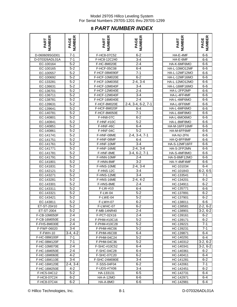## **8** *PART NUMBER INDEX*

| $7 - 1$<br>D-070326ADL01A<br>$5 - 2$<br>EC-100164<br>$5 - 2$<br>EC-100165<br>$5-2$<br>EC-100557<br>$5 - 2$<br>EC-100692<br>$5-2$<br>EC-133281<br>$5 - 2$<br>EC-136631<br>$rac{1}{2}$<br>EC-136701<br>$\overline{5-2}$<br>EC-136711<br>$5 - 2$<br>EC-138781<br>$5 - 2$<br>EC-139631<br>$5 - 2$<br>EC-139641<br>$5 - 2$<br>EC-140781<br>$5 - 2$<br>EC-140801<br>$5 - 2$<br>EC-140841<br>$5 - 2$<br>EC-140851<br>$5-2$<br>EC-140861<br>$5-2$<br>EC-141741<br>$rac{5-2}{2}$<br>EC-141751<br>$5 - 2$<br>EC-141761<br>$5 - 2$<br>EC-141771<br>$5 - 2$<br>EC-141781<br>$5 - 2$<br>EC-141791<br>EC-141801<br>$5-2$<br>$5 - 2$<br>EC-141831<br>$5 - 2$<br>EC-142121<br>$5 - 2$<br>EC-143271<br>$5 - 2$<br>EC-143281<br>$5-2$<br>EC-143301<br>$5 - 2$<br>EC-143311<br>$5-2$<br>EC-143321<br>$5 - 2$<br>EC-143421<br>$5 - 2$<br>EC-143811<br>$5-2$<br>$\overline{ST-20#10}$<br>ET.<br>$5 - 2$<br>ET-ST-2004<br>$2 - 4$<br>F-CB-10M050F<br>$2 - 4$<br>F-CB-16M050E<br>2-4<br>F-FHS-8M030E<br>$3-4$<br>F-FWF-06020<br>$3-4, 4-2$<br>F-FWH-10<br>$7 - 1$<br>F-HC-08M100F<br>$7 - 1$<br>F-HC-08M120F<br>$2 - 4$<br>F-HC-10M070E<br>F-HC-16M050E<br>$2 - 4$<br>F-HC-16M060E<br>$4 - 2$<br>F-HC-16M110E<br>$3 - 4$<br>$2-4, 3-4$<br>F-HC-16M120E<br>$4 - 2$<br>F-HC-16M250E<br>F-HC5-04C12<br>$5-2$<br>6-2<br>F-HC8-07C24 | ER<br>PART<br>МB | <b>IUMBER</b><br>PAGE |
|----------------------------------------------------------------------------------------------------------------------------------------------------------------------------------------------------------------------------------------------------------------------------------------------------------------------------------------------------------------------------------------------------------------------------------------------------------------------------------------------------------------------------------------------------------------------------------------------------------------------------------------------------------------------------------------------------------------------------------------------------------------------------------------------------------------------------------------------------------------------------------------------------------------------------------------------------------------------------------------------------------------------------------------------------------------------------------------------------------------------------------------------------------------------------------------------------------------------------------------------------------------------------------------------------------|------------------|-----------------------|
|                                                                                                                                                                                                                                                                                                                                                                                                                                                                                                                                                                                                                                                                                                                                                                                                                                                                                                                                                                                                                                                                                                                                                                                                                                                                                                          | D-060609SGD01    | $7 - 1$               |
|                                                                                                                                                                                                                                                                                                                                                                                                                                                                                                                                                                                                                                                                                                                                                                                                                                                                                                                                                                                                                                                                                                                                                                                                                                                                                                          |                  |                       |
|                                                                                                                                                                                                                                                                                                                                                                                                                                                                                                                                                                                                                                                                                                                                                                                                                                                                                                                                                                                                                                                                                                                                                                                                                                                                                                          |                  |                       |
|                                                                                                                                                                                                                                                                                                                                                                                                                                                                                                                                                                                                                                                                                                                                                                                                                                                                                                                                                                                                                                                                                                                                                                                                                                                                                                          |                  |                       |
|                                                                                                                                                                                                                                                                                                                                                                                                                                                                                                                                                                                                                                                                                                                                                                                                                                                                                                                                                                                                                                                                                                                                                                                                                                                                                                          |                  |                       |
|                                                                                                                                                                                                                                                                                                                                                                                                                                                                                                                                                                                                                                                                                                                                                                                                                                                                                                                                                                                                                                                                                                                                                                                                                                                                                                          |                  |                       |
|                                                                                                                                                                                                                                                                                                                                                                                                                                                                                                                                                                                                                                                                                                                                                                                                                                                                                                                                                                                                                                                                                                                                                                                                                                                                                                          |                  |                       |
|                                                                                                                                                                                                                                                                                                                                                                                                                                                                                                                                                                                                                                                                                                                                                                                                                                                                                                                                                                                                                                                                                                                                                                                                                                                                                                          |                  |                       |
|                                                                                                                                                                                                                                                                                                                                                                                                                                                                                                                                                                                                                                                                                                                                                                                                                                                                                                                                                                                                                                                                                                                                                                                                                                                                                                          |                  |                       |
|                                                                                                                                                                                                                                                                                                                                                                                                                                                                                                                                                                                                                                                                                                                                                                                                                                                                                                                                                                                                                                                                                                                                                                                                                                                                                                          |                  |                       |
|                                                                                                                                                                                                                                                                                                                                                                                                                                                                                                                                                                                                                                                                                                                                                                                                                                                                                                                                                                                                                                                                                                                                                                                                                                                                                                          |                  |                       |
|                                                                                                                                                                                                                                                                                                                                                                                                                                                                                                                                                                                                                                                                                                                                                                                                                                                                                                                                                                                                                                                                                                                                                                                                                                                                                                          |                  |                       |
|                                                                                                                                                                                                                                                                                                                                                                                                                                                                                                                                                                                                                                                                                                                                                                                                                                                                                                                                                                                                                                                                                                                                                                                                                                                                                                          |                  |                       |
|                                                                                                                                                                                                                                                                                                                                                                                                                                                                                                                                                                                                                                                                                                                                                                                                                                                                                                                                                                                                                                                                                                                                                                                                                                                                                                          |                  |                       |
|                                                                                                                                                                                                                                                                                                                                                                                                                                                                                                                                                                                                                                                                                                                                                                                                                                                                                                                                                                                                                                                                                                                                                                                                                                                                                                          |                  |                       |
|                                                                                                                                                                                                                                                                                                                                                                                                                                                                                                                                                                                                                                                                                                                                                                                                                                                                                                                                                                                                                                                                                                                                                                                                                                                                                                          |                  |                       |
|                                                                                                                                                                                                                                                                                                                                                                                                                                                                                                                                                                                                                                                                                                                                                                                                                                                                                                                                                                                                                                                                                                                                                                                                                                                                                                          |                  |                       |
|                                                                                                                                                                                                                                                                                                                                                                                                                                                                                                                                                                                                                                                                                                                                                                                                                                                                                                                                                                                                                                                                                                                                                                                                                                                                                                          |                  |                       |
|                                                                                                                                                                                                                                                                                                                                                                                                                                                                                                                                                                                                                                                                                                                                                                                                                                                                                                                                                                                                                                                                                                                                                                                                                                                                                                          |                  |                       |
|                                                                                                                                                                                                                                                                                                                                                                                                                                                                                                                                                                                                                                                                                                                                                                                                                                                                                                                                                                                                                                                                                                                                                                                                                                                                                                          |                  |                       |
|                                                                                                                                                                                                                                                                                                                                                                                                                                                                                                                                                                                                                                                                                                                                                                                                                                                                                                                                                                                                                                                                                                                                                                                                                                                                                                          |                  |                       |
|                                                                                                                                                                                                                                                                                                                                                                                                                                                                                                                                                                                                                                                                                                                                                                                                                                                                                                                                                                                                                                                                                                                                                                                                                                                                                                          |                  |                       |
|                                                                                                                                                                                                                                                                                                                                                                                                                                                                                                                                                                                                                                                                                                                                                                                                                                                                                                                                                                                                                                                                                                                                                                                                                                                                                                          |                  |                       |
|                                                                                                                                                                                                                                                                                                                                                                                                                                                                                                                                                                                                                                                                                                                                                                                                                                                                                                                                                                                                                                                                                                                                                                                                                                                                                                          |                  |                       |
|                                                                                                                                                                                                                                                                                                                                                                                                                                                                                                                                                                                                                                                                                                                                                                                                                                                                                                                                                                                                                                                                                                                                                                                                                                                                                                          |                  |                       |
|                                                                                                                                                                                                                                                                                                                                                                                                                                                                                                                                                                                                                                                                                                                                                                                                                                                                                                                                                                                                                                                                                                                                                                                                                                                                                                          |                  |                       |
|                                                                                                                                                                                                                                                                                                                                                                                                                                                                                                                                                                                                                                                                                                                                                                                                                                                                                                                                                                                                                                                                                                                                                                                                                                                                                                          |                  |                       |
|                                                                                                                                                                                                                                                                                                                                                                                                                                                                                                                                                                                                                                                                                                                                                                                                                                                                                                                                                                                                                                                                                                                                                                                                                                                                                                          |                  |                       |
|                                                                                                                                                                                                                                                                                                                                                                                                                                                                                                                                                                                                                                                                                                                                                                                                                                                                                                                                                                                                                                                                                                                                                                                                                                                                                                          |                  |                       |
|                                                                                                                                                                                                                                                                                                                                                                                                                                                                                                                                                                                                                                                                                                                                                                                                                                                                                                                                                                                                                                                                                                                                                                                                                                                                                                          |                  |                       |
|                                                                                                                                                                                                                                                                                                                                                                                                                                                                                                                                                                                                                                                                                                                                                                                                                                                                                                                                                                                                                                                                                                                                                                                                                                                                                                          |                  |                       |
|                                                                                                                                                                                                                                                                                                                                                                                                                                                                                                                                                                                                                                                                                                                                                                                                                                                                                                                                                                                                                                                                                                                                                                                                                                                                                                          |                  |                       |
|                                                                                                                                                                                                                                                                                                                                                                                                                                                                                                                                                                                                                                                                                                                                                                                                                                                                                                                                                                                                                                                                                                                                                                                                                                                                                                          |                  |                       |
|                                                                                                                                                                                                                                                                                                                                                                                                                                                                                                                                                                                                                                                                                                                                                                                                                                                                                                                                                                                                                                                                                                                                                                                                                                                                                                          |                  |                       |
|                                                                                                                                                                                                                                                                                                                                                                                                                                                                                                                                                                                                                                                                                                                                                                                                                                                                                                                                                                                                                                                                                                                                                                                                                                                                                                          |                  |                       |
|                                                                                                                                                                                                                                                                                                                                                                                                                                                                                                                                                                                                                                                                                                                                                                                                                                                                                                                                                                                                                                                                                                                                                                                                                                                                                                          |                  |                       |
|                                                                                                                                                                                                                                                                                                                                                                                                                                                                                                                                                                                                                                                                                                                                                                                                                                                                                                                                                                                                                                                                                                                                                                                                                                                                                                          |                  |                       |
|                                                                                                                                                                                                                                                                                                                                                                                                                                                                                                                                                                                                                                                                                                                                                                                                                                                                                                                                                                                                                                                                                                                                                                                                                                                                                                          |                  |                       |
|                                                                                                                                                                                                                                                                                                                                                                                                                                                                                                                                                                                                                                                                                                                                                                                                                                                                                                                                                                                                                                                                                                                                                                                                                                                                                                          |                  |                       |
|                                                                                                                                                                                                                                                                                                                                                                                                                                                                                                                                                                                                                                                                                                                                                                                                                                                                                                                                                                                                                                                                                                                                                                                                                                                                                                          |                  |                       |
|                                                                                                                                                                                                                                                                                                                                                                                                                                                                                                                                                                                                                                                                                                                                                                                                                                                                                                                                                                                                                                                                                                                                                                                                                                                                                                          |                  |                       |
|                                                                                                                                                                                                                                                                                                                                                                                                                                                                                                                                                                                                                                                                                                                                                                                                                                                                                                                                                                                                                                                                                                                                                                                                                                                                                                          |                  |                       |
|                                                                                                                                                                                                                                                                                                                                                                                                                                                                                                                                                                                                                                                                                                                                                                                                                                                                                                                                                                                                                                                                                                                                                                                                                                                                                                          |                  |                       |
|                                                                                                                                                                                                                                                                                                                                                                                                                                                                                                                                                                                                                                                                                                                                                                                                                                                                                                                                                                                                                                                                                                                                                                                                                                                                                                          |                  |                       |
|                                                                                                                                                                                                                                                                                                                                                                                                                                                                                                                                                                                                                                                                                                                                                                                                                                                                                                                                                                                                                                                                                                                                                                                                                                                                                                          |                  |                       |
|                                                                                                                                                                                                                                                                                                                                                                                                                                                                                                                                                                                                                                                                                                                                                                                                                                                                                                                                                                                                                                                                                                                                                                                                                                                                                                          |                  |                       |
|                                                                                                                                                                                                                                                                                                                                                                                                                                                                                                                                                                                                                                                                                                                                                                                                                                                                                                                                                                                                                                                                                                                                                                                                                                                                                                          |                  |                       |
|                                                                                                                                                                                                                                                                                                                                                                                                                                                                                                                                                                                                                                                                                                                                                                                                                                                                                                                                                                                                                                                                                                                                                                                                                                                                                                          |                  |                       |
|                                                                                                                                                                                                                                                                                                                                                                                                                                                                                                                                                                                                                                                                                                                                                                                                                                                                                                                                                                                                                                                                                                                                                                                                                                                                                                          |                  |                       |
|                                                                                                                                                                                                                                                                                                                                                                                                                                                                                                                                                                                                                                                                                                                                                                                                                                                                                                                                                                                                                                                                                                                                                                                                                                                                                                          |                  |                       |
|                                                                                                                                                                                                                                                                                                                                                                                                                                                                                                                                                                                                                                                                                                                                                                                                                                                                                                                                                                                                                                                                                                                                                                                                                                                                                                          |                  |                       |
|                                                                                                                                                                                                                                                                                                                                                                                                                                                                                                                                                                                                                                                                                                                                                                                                                                                                                                                                                                                                                                                                                                                                                                                                                                                                                                          |                  |                       |
|                                                                                                                                                                                                                                                                                                                                                                                                                                                                                                                                                                                                                                                                                                                                                                                                                                                                                                                                                                                                                                                                                                                                                                                                                                                                                                          | F-HC8-07C44      | $6 - 2$               |

| NUMBER<br>PART | <b>NUMBER</b><br>PAGE | <b>NUMBER</b><br>PART | <b>NUMBER</b><br>PAGE | <b>NUMBER</b><br>PART | <b>NUMBER</b><br>PAGE |
|----------------|-----------------------|-----------------------|-----------------------|-----------------------|-----------------------|
| D-060609SGD01  | $7 - 1$               | F-HC8-07C52           | $6 - 2$               | HA-E-4MF              | $6 - 6$               |
| D-070326ADL01A | $7 - 1$               | F-HC8-12C240          | $3 - 4$               | HA-E-6MF              | $6-6$                 |
| EC-100164      | $5 - 2$               | F-HC-8M020E           | $2 - 4$               | HA-K-6MF6MO           | $6-6$                 |
| EC-100165      | $\overline{5}$ -2     | F-HCF-05C08           | $6 - 4$               | HA-L-10MO12MF         | $6-6$                 |
| EC-100557      | $5 - 2$               | F-HCF-08M090F         | $7 - 1$               | HA-L-12MF12MO         | $6 - 6$               |
| EC-100692      | $5 - 2$               | F-HCF-10M020E         | $6 - 2$               | HA-L-12MF16MO         | 6-6                   |
| EC-133281      | $5 - 2$               | F-HCF-10M035E         | $2-4, 3-4$            | HA-L-12MO12MO         | $6-6$                 |
| EC-136631      | $5 - 2$               | F-HCF-10M040F         | $3 - 4$               | HA-L-16MF16MO         | $6-6$                 |
| EC-136701      | $5 - 2$               | F-HCF-12M040E         | $2 - 4$               | HA-L-2FP2MP           | $6 - 6$               |
| EC-136711      | $5 - 2$               | F-HCF-12M040F         | $3 - 4$               | HA-L-4FF4MF           | $6 - 6$               |
| EC-138781      | $5 - 2$               | F-HCF-16M040E         | $2 - 4$               | HA-L-4MF6MO           | $6-6$                 |
| EC-139631      | $5 - 2$               | F-HCF-8M020E          | $2-4, 3-4, 6-2, 7-1$  | HA-L-6FF6MF           | $6 - 6$               |
| EC-139641      | $5 - 2$               | F-HCF-8M020F          | $6 - 4$               | HA-L-6MF6MO           | $6-6$                 |
| EC-140781      | $5 - 2$               | F-HCF-8M050E          | $7 - 1$               | HA-L-6MF8MO           | $6 - 6$               |
| EC-140801      | $5 - 2$               | F-HN8-07C             | $6 - 2$               | HA-L-6MO6MO           | $6 - 6$               |
| EC-140841      | $5 - 2$               | F-HNF-#10C            | $5 - 2$               | HA-L-8MF8MO           | $6-6$                 |
| EC-140851      | $5 - 2$               | F-HNF-#6C             | $6-4$                 | HA-M-16FF16MF         | $6 - 6$               |
| EC-140861      | $5 - 2$               | F-HNF-04C             | $5 - 2$               | HA-M-6FF6MF           | 6-6                   |
| EC-141741      | $5 - 2$               | F-HNF-08ME            | $2-4, 3-4, 7-1$       | HA-NJ-2FN             | $6-6$                 |
| EC-141751      | $5 - 2$               | F-HNF-08MF            | $6 - 4$               | HA-Q-8FF8MF           | $6 - 6$               |
| EC-141761      | $5 - 2$               | F-HNF-10MF            | $3 - 4$               | HA-S-12MF16FF         | $6-6$                 |
| EC-141771      | $5 - 2$               | F-HNF-16ME            | $2-4, 3-4$            | HA-S-2FP2MN           | $6 - 6$               |
| EC-141781      | $5 - 2$               | F-HNF-8ME             | $3-4, 6-2, 7-1$       | HA-S-4MF8MO           | $6-6$                 |
| EC-141791      | $5 - 2$               | F-HNN-10MF            | $2 - 4$               | HA-S-8MF12MO          | $6-6$                 |
| EC-141801      | $5 - 2$               | F-HNN-8MF             | $3 - 2$               | HA-Y-4MF4MF           | $6-6$                 |
| EC-141831      | $5 - 2$               | F-HNS-10ME            | $2-4, 3-4$            | HC-101034             | $6 - 4$               |
| EC-142121      | $5 - 2$               | F-HNS-12C             | $3 - 4$               | HC-101843             | $6-2, 6-5$            |
| EC-143271      | $5 - 2$               | F-HNS-12ME            | $3 - 4$               | HC-133541             | 7-1                   |
| EC-143281      | $5 - 2$               | F-HNS-16ME            | $2-4, 4-2$            | HC-134201             | $6 - 2$               |
| EC-143301      | $5 - 2$               | F-HNS-8ME             | $2 - 4$               | HC-134911             | $6 - 2$               |
| EC-143311      | $5 - 2$               | F-LW-#10              | $6-4$                 | HC-135771             | 6-6                   |
| EC-143321      | $5 - 2$               | F-LW-04               | $5 - 2$               | HC-137891             | $6 - 2$               |
| EC-143421      | $5 - 2$               | F-LWE-04              | $5-2$                 | HC-137901             | $6 - 2$               |
| EC-143811      | $5 - 2$               | F-LWH-07              | $6 - 2$               | HC-138011             | $6-6$                 |
| ET-ST-20#10    | $5 - 2$               | F-LWHC-07             | $6 - 2$               | HC-138581             | $2-2, 6-2$            |
| ET-ST-2004     | 5-2                   | F-MB-14NR40           | 2-4                   | HC-138901             | $3-2, 6-2$            |
| F-CB-10M050F   | $2 - 4$               | F-PCT-02X16           | $2 - 4$               | HC-139161             | 6-2                   |
| F-CB-16M050E   | $2 - 4$               | F-PHM-#10C16          | $5 - 2$               | HC-139171             | $6 - 2$               |
| F-FHS-8M030E   | $2 - 4$               | F-PHM-#10C28          | $5 - 2$               | HC-139221             | 7-1                   |
| F-FWF-06020    | $3 - 4$               | F-PHM-#6C06           | $5-2$                 | HC-139231             | 7-1                   |
| F-FWH-10       | $3-4, 4-2$            | F-PHM-#6C08           | 6-4                   | HC-139871             | 6-4                   |
| F-HC-08M100F   | 7-1                   | F-PHM-04C24           | $5-2$                 | HC-140291             | 6-4                   |
| F-HC-08M120F   | $7 - 1$               | F-PHM-04C36           | $5 - 2$               | HC-140312             | $3-2, 6-2$            |
| F-HC-10M070E   | $2 - 4$               | F-SHC-#10C52          | 6-4                   | HC-140341             | $3-2, 6-2$            |
| F-HC-16M050E   | $2 - 4$               | F-SHC-04C28           | $6-4$                 | HC-140361             | 6-2                   |
| F-HC-16M060E   | $4 - 2$               | F-SHC-07C20           | $6-2$                 | HC-140411             | 6-4                   |
| F-HC-16M110E   | $3 - 4$               | F-SHC-24M080E         | 3-4                   | HC-141281             | $6 - 2$               |
| F-HC-16M120E   | $2-4, 3-4$            | F-SSS-04F04           | $6 - 2$               | HC-142061             | $7 - 1$               |
| F-HC-16M250E   | $4 - 2$               | F-UDS-#7X06           | $3 - 4$               | HC-142451             | $6 - 2$               |
| F-HC5-04C12    | $5 - 2$               | HA-133131             | $6-5$                 | HC-142731             | 6-4                   |
| F-HC8-07C24    | $6 - 2$               | <b>HA-A-12MO</b>      | 6-6                   | HC-142971             | 6-4                   |
| F-HC8-07C44    | $6 - 2$               | HA-A-8MO              | 6-6                   | HC-142981             | $6-4$                 |

| œ<br>ш<br>PART<br>e    | ≃<br>ш<br>PAGE<br>JUMB |
|------------------------|------------------------|
| HA-E-4MF               | $6 - 6$                |
| HA-E-6MF               | 6-6                    |
| HA-K-6MF6MO            | 6-6                    |
| HA-L-10MO12MF          | $6-6$                  |
| HA-L-12MF12MO          | $6-6$                  |
| HA-L-12MF16MO          | $6-6$                  |
| HA-L-12MO12MO          | $6-6$                  |
| HA-L-16MF16MO          | $6-6$                  |
| HA-L-2FP2MP            | 6-6                    |
| HA-L-4FF4MF            | 6-6                    |
| HA-L-4MF6MO            | 6-6                    |
| HA-L-6FF6MF            | 6-6                    |
| HA-L-6MF6MO            | 6-6                    |
| HA-L-6MF8MO            | 6-6                    |
| HA-L-6MO6MO            | 6-6                    |
| HA-L-8MF8MO            | $6-6$                  |
| HA-M-16FF16MF          | $6 - 6$                |
| HA-M-6FF6MF            | $6-6$                  |
| HA-NJ-2FN              | 6-6                    |
| HA-Q-8FF8MF            | $6-6$                  |
| HA-S-12MF16FF          | 6-6                    |
| HA-S-2FP2MN            | 6-6                    |
| HA-S-4MF8MO            | $6-6$                  |
| HA-S-8MF12MO           | 6-6                    |
| HA-Y-4MF4MF            | 6-6                    |
| HC-101034              | 6-4                    |
|                        |                        |
| HC-101843<br>HC-133541 | $6-2, 6-5$<br>$7 - 1$  |
| HC-134201              | $6 - 2$                |
| HC-134911              | $6 - 2$                |
| HC-135771              |                        |
| HC-137891              | 6-6                    |
|                        | $6 - 2$                |
| HC-137901              | $6 - 2$                |
| HC-138011              | 6-6                    |
| HC-138581              | $2-2, 6-2$             |
| HC-138901              | $3-2, 6-2$             |
| HC-139161              | $6 - 2$                |
| HC-139171              | $6 - 2$                |
| HC-139221              | $7 - 1$                |
| HC-139231              | $7-1$                  |
| HC-139871              | $6 - 4$                |
| HC-140291              | $6 - 4$                |
| HC-140312              | $3-2, 6-2$             |
| HC-140341              | $3-2, 6-2$             |
| HC-140361              | $6-2$                  |
| HC-140411              | $6 - 4$                |
| HC-141281              | $6 - 2$                |
| HC-142061              | $7 - 1$                |
| HC-142451              | $6 - 2$                |
| HC-142731              | $6 - 4$                |
| HC-142971              | $6 - 4$                |
| HC-142981              | $6 - 4$                |

© Hillco Technologies, Inc. 69-1 1990 12-1 2009 12-1 2009 12-2 2009 12-2 2009 12-2 2009 12-2 2009 12-2 2009 12-2 2009 12-2 2009 12-2 2009 12-2 2009 12-2 2009 12-2 2009 12-2 2009 12-2 2009 12-2 2009 12-2 2009 12-2 2009 12-2